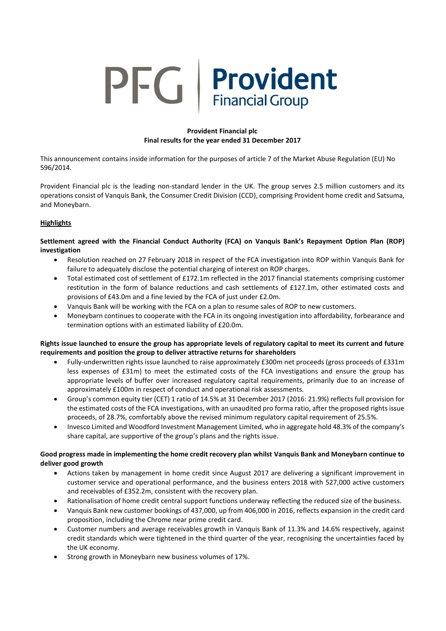# PFG Provident **Financial Group**

## **Provident Financial plc Final results for the year ended 31 December 2017**

This announcement contains inside information for the purposes of article 7 of the Market Abuse Regulation (EU) No 596/2014.

Provident Financial plc is the leading non-standard lender in the UK. The group serves 2.5 million customers and its operations consist of Vanquis Bank, the Consumer Credit Division (CCD), comprising Provident home credit and Satsuma, and Moneybarn.

## **Highlights**

**Settlement agreed with the Financial Conduct Authority (FCA) on Vanquis Bank's Repayment Option Plan (ROP) investigation** 

- Resolution reached on 27 February 2018 in respect of the FCA investigation into ROP within Vanquis Bank for failure to adequately disclose the potential charging of interest on ROP charges.
- Total estimated cost of settlement of £172.1m reflected in the 2017 financial statements comprising customer restitution in the form of balance reductions and cash settlements of £127.1m, other estimated costs and provisions of £43.0m and a fine levied by the FCA of just under £2.0m.
- Vanquis Bank will be working with the FCA on a plan to resume sales of ROP to new customers.
- Moneybarn continues to cooperate with the FCA in its ongoing investigation into affordability, forbearance and termination options with an estimated liability of £20.0m.

## **Rights issue launched to ensure the group has appropriate levels of regulatory capital to meet its current and future requirements and position the group to deliver attractive returns for shareholders**

- Fully-underwritten rights issue launched to raise approximately £300m net proceeds (gross proceeds of £331m less expenses of £31m) to meet the estimated costs of the FCA investigations and ensure the group has appropriate levels of buffer over increased regulatory capital requirements, primarily due to an increase of approximately £100m in respect of conduct and operational risk assessments.
- Group's common equity tier (CET) 1 ratio of 14.5% at 31 December 2017 (2016: 21.9%) reflects full provision for the estimated costs of the FCA investigations, with an unaudited pro forma ratio, after the proposed rights issue proceeds, of 28.7%, comfortably above the revised minimum regulatory capital requirement of 25.5%.
- Invesco Limited and Woodford Investment Management Limited, who in aggregate hold 48.3% of the company's share capital, are supportive of the group's plans and the rights issue.

## **Good progress made in implementing the home credit recovery plan whilst Vanquis Bank and Moneybarn continue to deliver good growth**

- Actions taken by management in home credit since August 2017 are delivering a significant improvement in customer service and operational performance, and the business enters 2018 with 527,000 active customers and receivables of £352.2m, consistent with the recovery plan.
- Rationalisation of home credit central support functions underway reflecting the reduced size of the business.
- Vanquis Bank new customer bookings of 437,000, up from 406,000 in 2016, reflects expansion in the credit card proposition, including the Chrome near prime credit card.
- Customer numbers and average receivables growth in Vanquis Bank of 11.3% and 14.6% respectively, against credit standards which were tightened in the third quarter of the year, recognising the uncertainties faced by the UK economy.
- Strong growth in Moneybarn new business volumes of 17%.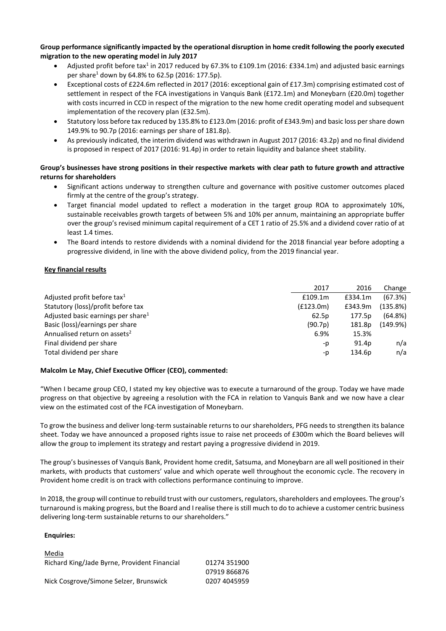## **Group performance significantly impacted by the operational disruption in home credit following the poorly executed migration to the new operating model in July 2017**

- Adjusted profit before tax<sup>1</sup> in 2017 reduced by 67.3% to £109.1m (2016: £334.1m) and adjusted basic earnings per share<sup>1</sup> down by 64.8% to 62.5p (2016: 177.5p).
- Exceptional costs of £224.6m reflected in 2017 (2016: exceptional gain of £17.3m) comprising estimated cost of settlement in respect of the FCA investigations in Vanquis Bank (£172.1m) and Moneybarn (£20.0m) together with costs incurred in CCD in respect of the migration to the new home credit operating model and subsequent implementation of the recovery plan (£32.5m).
- Statutory loss before tax reduced by 135.8% to £123.0m (2016: profit of £343.9m) and basic loss per share down 149.9% to 90.7p (2016: earnings per share of 181.8p).
- As previously indicated, the interim dividend was withdrawn in August 2017 (2016: 43.2p) and no final dividend is proposed in respect of 2017 (2016: 91.4p) in order to retain liquidity and balance sheet stability.

## **Group's businesses have strong positions in their respective markets with clear path to future growth and attractive returns for shareholders**

- Significant actions underway to strengthen culture and governance with positive customer outcomes placed firmly at the centre of the group's strategy.
- Target financial model updated to reflect a moderation in the target group ROA to approximately 10%, sustainable receivables growth targets of between 5% and 10% per annum, maintaining an appropriate buffer over the group's revised minimum capital requirement of a CET 1 ratio of 25.5% and a dividend cover ratio of at least 1.4 times.
- The Board intends to restore dividends with a nominal dividend for the 2018 financial year before adopting a progressive dividend, in line with the above dividend policy, from the 2019 financial year.

## **Key financial results**

|                                                | 2017      | 2016              | Change     |
|------------------------------------------------|-----------|-------------------|------------|
| Adjusted profit before tax <sup>1</sup>        | £109.1m   | £334.1m           | (67.3%)    |
| Statutory (loss)/profit before tax             | (f123.0m) | £343.9m           | (135.8%)   |
| Adjusted basic earnings per share <sup>1</sup> | 62.5p     | 177.5p            | $(64.8\%)$ |
| Basic (loss)/earnings per share                | (90.7p)   | 181.8p            | (149.9%)   |
| Annualised return on assets <sup>2</sup>       | 6.9%      | 15.3%             |            |
| Final dividend per share                       | -p        | 91.4 <sub>p</sub> | n/a        |
| Total dividend per share                       | -p        | 134.6p            | n/a        |

## **Malcolm Le May, Chief Executive Officer (CEO), commented:**

"When I became group CEO, I stated my key objective was to execute a turnaround of the group. Today we have made progress on that objective by agreeing a resolution with the FCA in relation to Vanquis Bank and we now have a clear view on the estimated cost of the FCA investigation of Moneybarn.

To grow the business and deliver long-term sustainable returns to our shareholders, PFG needs to strengthen its balance sheet. Today we have announced a proposed rights issue to raise net proceeds of £300m which the Board believes will allow the group to implement its strategy and restart paying a progressive dividend in 2019.

The group's businesses of Vanquis Bank, Provident home credit, Satsuma, and Moneybarn are all well positioned in their markets, with products that customers' value and which operate well throughout the economic cycle. The recovery in Provident home credit is on track with collections performance continuing to improve.

In 2018, the group will continue to rebuild trust with our customers, regulators, shareholders and employees. The group's turnaround is making progress, but the Board and I realise there is still much to do to achieve a customer centric business delivering long-term sustainable returns to our shareholders."

## **Enquiries:**

| Media                                        |              |
|----------------------------------------------|--------------|
| Richard King/Jade Byrne, Provident Financial | 01274 351900 |
|                                              | 07919 866876 |
| Nick Cosgrove/Simone Selzer, Brunswick       | 0207 4045959 |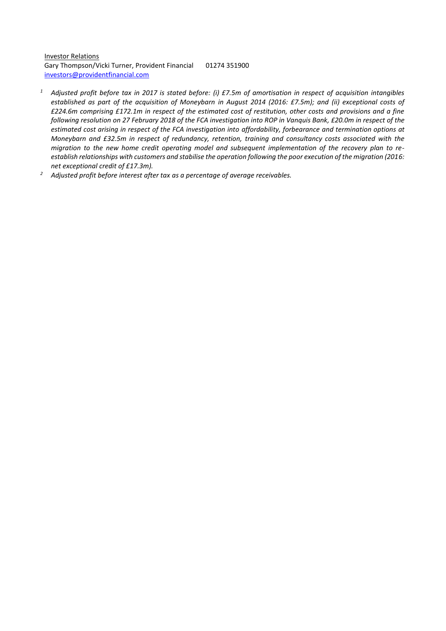Investor Relations Gary Thompson/Vicki Turner, Provident Financial 01274 351900 [investors@providentfinancial.com](mailto:investors@providentfinancial.com)

- *<sup>1</sup> Adjusted profit before tax in 2017 is stated before: (i) £7.5m of amortisation in respect of acquisition intangibles established as part of the acquisition of Moneybarn in August 2014 (2016: £7.5m); and (ii) exceptional costs of £224.6m comprising £172.1m in respect of the estimated cost of restitution, other costs and provisions and a fine following resolution on 27 February 2018 of the FCA investigation into ROP in Vanquis Bank, £20.0m in respect of the estimated cost arising in respect of the FCA investigation into affordability, forbearance and termination options at Moneybarn and £32.5m in respect of redundancy, retention, training and consultancy costs associated with the migration to the new home credit operating model and subsequent implementation of the recovery plan to reestablish relationships with customers and stabilise the operation following the poor execution of the migration (2016: net exceptional credit of £17.3m).*
- *<sup>2</sup> Adjusted profit before interest after tax as a percentage of average receivables.*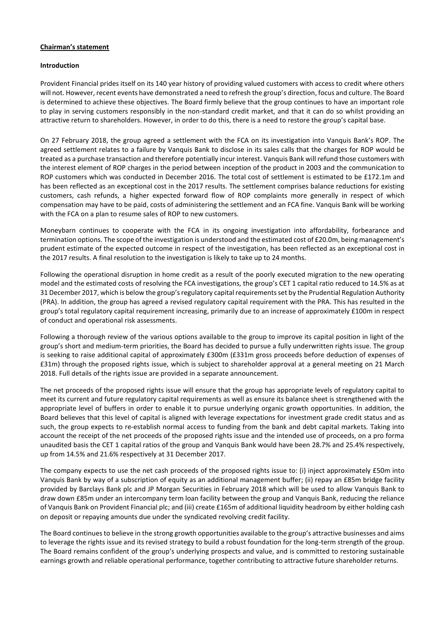#### **Chairman's statement**

#### **Introduction**

Provident Financial prides itself on its 140 year history of providing valued customers with access to credit where others will not. However, recent events have demonstrated a need to refresh the group's direction, focus and culture. The Board is determined to achieve these objectives. The Board firmly believe that the group continues to have an important role to play in serving customers responsibly in the non-standard credit market, and that it can do so whilst providing an attractive return to shareholders. However, in order to do this, there is a need to restore the group's capital base.

On 27 February 2018, the group agreed a settlement with the FCA on its investigation into Vanquis Bank's ROP. The agreed settlement relates to a failure by Vanquis Bank to disclose in its sales calls that the charges for ROP would be treated as a purchase transaction and therefore potentially incur interest. Vanquis Bank will refund those customers with the interest element of ROP charges in the period between inception of the product in 2003 and the communication to ROP customers which was conducted in December 2016. The total cost of settlement is estimated to be £172.1m and has been reflected as an exceptional cost in the 2017 results. The settlement comprises balance reductions for existing customers, cash refunds, a higher expected forward flow of ROP complaints more generally in respect of which compensation may have to be paid, costs of administering the settlement and an FCA fine. Vanquis Bank will be working with the FCA on a plan to resume sales of ROP to new customers.

Moneybarn continues to cooperate with the FCA in its ongoing investigation into affordability, forbearance and termination options. The scope of the investigation is understood and the estimated cost of £20.0m, being management's prudent estimate of the expected outcome in respect of the investigation, has been reflected as an exceptional cost in the 2017 results. A final resolution to the investigation is likely to take up to 24 months.

Following the operational disruption in home credit as a result of the poorly executed migration to the new operating model and the estimated costs of resolving the FCA investigations, the group's CET 1 capital ratio reduced to 14.5% as at 31 December 2017, which is below the group's regulatory capital requirements set by the Prudential Regulation Authority (PRA). In addition, the group has agreed a revised regulatory capital requirement with the PRA. This has resulted in the group's total regulatory capital requirement increasing, primarily due to an increase of approximately £100m in respect of conduct and operational risk assessments.

Following a thorough review of the various options available to the group to improve its capital position in light of the group's short and medium-term priorities, the Board has decided to pursue a fully underwritten rights issue. The group is seeking to raise additional capital of approximately £300m (£331m gross proceeds before deduction of expenses of £31m) through the proposed rights issue, which is subject to shareholder approval at a general meeting on 21 March 2018. Full details of the rights issue are provided in a separate announcement.

The net proceeds of the proposed rights issue will ensure that the group has appropriate levels of regulatory capital to meet its current and future regulatory capital requirements as well as ensure its balance sheet is strengthened with the appropriate level of buffers in order to enable it to pursue underlying organic growth opportunities. In addition, the Board believes that this level of capital is aligned with leverage expectations for investment grade credit status and as such, the group expects to re-establish normal access to funding from the bank and debt capital markets. Taking into account the receipt of the net proceeds of the proposed rights issue and the intended use of proceeds, on a pro forma unaudited basis the CET 1 capital ratios of the group and Vanquis Bank would have been 28.7% and 25.4% respectively, up from 14.5% and 21.6% respectively at 31 December 2017.

The company expects to use the net cash proceeds of the proposed rights issue to: (i) inject approximately £50m into Vanquis Bank by way of a subscription of equity as an additional management buffer; (ii) repay an £85m bridge facility provided by Barclays Bank plc and JP Morgan Securities in February 2018 which will be used to allow Vanquis Bank to draw down £85m under an intercompany term loan facility between the group and Vanquis Bank, reducing the reliance of Vanquis Bank on Provident Financial plc; and (iii) create £165m of additional liquidity headroom by either holding cash on deposit or repaying amounts due under the syndicated revolving credit facility.

The Board continues to believe in the strong growth opportunities available to the group's attractive businesses and aims to leverage the rights issue and its revised strategy to build a robust foundation for the long-term strength of the group. The Board remains confident of the group's underlying prospects and value, and is committed to restoring sustainable earnings growth and reliable operational performance, together contributing to attractive future shareholder returns.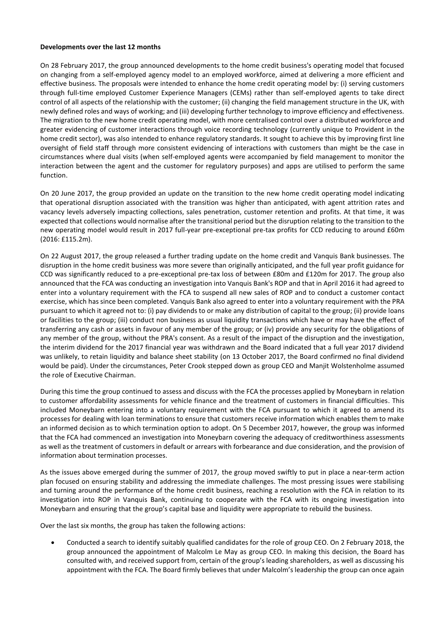#### **Developments over the last 12 months**

On 28 February 2017, the group announced developments to the home credit business's operating model that focused on changing from a self-employed agency model to an employed workforce, aimed at delivering a more efficient and effective business. The proposals were intended to enhance the home credit operating model by: (i) serving customers through full-time employed Customer Experience Managers (CEMs) rather than self-employed agents to take direct control of all aspects of the relationship with the customer; (ii) changing the field management structure in the UK, with newly defined roles and ways of working; and (iii) developing further technology to improve efficiency and effectiveness. The migration to the new home credit operating model, with more centralised control over a distributed workforce and greater evidencing of customer interactions through voice recording technology (currently unique to Provident in the home credit sector), was also intended to enhance regulatory standards. It sought to achieve this by improving first line oversight of field staff through more consistent evidencing of interactions with customers than might be the case in circumstances where dual visits (when self-employed agents were accompanied by field management to monitor the interaction between the agent and the customer for regulatory purposes) and apps are utilised to perform the same function.

On 20 June 2017, the group provided an update on the transition to the new home credit operating model indicating that operational disruption associated with the transition was higher than anticipated, with agent attrition rates and vacancy levels adversely impacting collections, sales penetration, customer retention and profits. At that time, it was expected that collections would normalise after the transitional period but the disruption relating to the transition to the new operating model would result in 2017 full-year pre-exceptional pre-tax profits for CCD reducing to around £60m (2016: £115.2m).

On 22 August 2017, the group released a further trading update on the home credit and Vanquis Bank businesses. The disruption in the home credit business was more severe than originally anticipated, and the full year profit guidance for CCD was significantly reduced to a pre-exceptional pre-tax loss of between £80m and £120m for 2017. The group also announced that the FCA was conducting an investigation into Vanquis Bank's ROP and that in April 2016 it had agreed to enter into a voluntary requirement with the FCA to suspend all new sales of ROP and to conduct a customer contact exercise, which has since been completed. Vanquis Bank also agreed to enter into a voluntary requirement with the PRA pursuant to which it agreed not to: (i) pay dividends to or make any distribution of capital to the group; (ii) provide loans or facilities to the group; (iii) conduct non business as usual liquidity transactions which have or may have the effect of transferring any cash or assets in favour of any member of the group; or (iv) provide any security for the obligations of any member of the group, without the PRA's consent. As a result of the impact of the disruption and the investigation, the interim dividend for the 2017 financial year was withdrawn and the Board indicated that a full year 2017 dividend was unlikely, to retain liquidity and balance sheet stability (on 13 October 2017, the Board confirmed no final dividend would be paid). Under the circumstances, Peter Crook stepped down as group CEO and Manjit Wolstenholme assumed the role of Executive Chairman.

During this time the group continued to assess and discuss with the FCA the processes applied by Moneybarn in relation to customer affordability assessments for vehicle finance and the treatment of customers in financial difficulties. This included Moneybarn entering into a voluntary requirement with the FCA pursuant to which it agreed to amend its processes for dealing with loan terminations to ensure that customers receive information which enables them to make an informed decision as to which termination option to adopt. On 5 December 2017, however, the group was informed that the FCA had commenced an investigation into Moneybarn covering the adequacy of creditworthiness assessments as well as the treatment of customers in default or arrears with forbearance and due consideration, and the provision of information about termination processes.

As the issues above emerged during the summer of 2017, the group moved swiftly to put in place a near-term action plan focused on ensuring stability and addressing the immediate challenges. The most pressing issues were stabilising and turning around the performance of the home credit business, reaching a resolution with the FCA in relation to its investigation into ROP in Vanquis Bank, continuing to cooperate with the FCA with its ongoing investigation into Moneybarn and ensuring that the group's capital base and liquidity were appropriate to rebuild the business.

Over the last six months, the group has taken the following actions:

 Conducted a search to identify suitably qualified candidates for the role of group CEO. On 2 February 2018, the group announced the appointment of Malcolm Le May as group CEO. In making this decision, the Board has consulted with, and received support from, certain of the group's leading shareholders, as well as discussing his appointment with the FCA. The Board firmly believes that under Malcolm's leadership the group can once again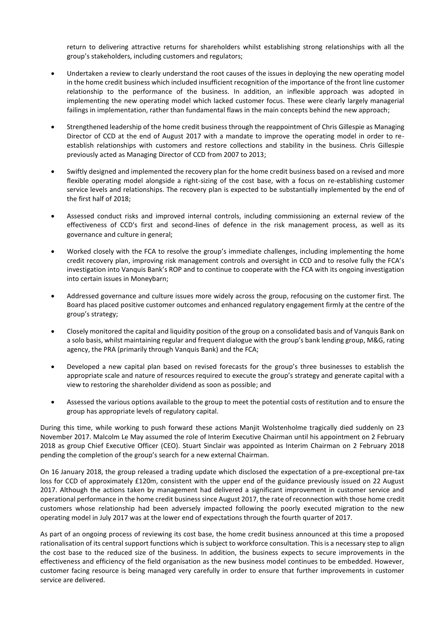return to delivering attractive returns for shareholders whilst establishing strong relationships with all the group's stakeholders, including customers and regulators;

- Undertaken a review to clearly understand the root causes of the issues in deploying the new operating model in the home credit business which included insufficient recognition of the importance of the front line customer relationship to the performance of the business. In addition, an inflexible approach was adopted in implementing the new operating model which lacked customer focus. These were clearly largely managerial failings in implementation, rather than fundamental flaws in the main concepts behind the new approach;
- Strengthened leadership of the home credit business through the reappointment of Chris Gillespie as Managing Director of CCD at the end of August 2017 with a mandate to improve the operating model in order to reestablish relationships with customers and restore collections and stability in the business. Chris Gillespie previously acted as Managing Director of CCD from 2007 to 2013;
- Swiftly designed and implemented the recovery plan for the home credit business based on a revised and more flexible operating model alongside a right-sizing of the cost base, with a focus on re-establishing customer service levels and relationships. The recovery plan is expected to be substantially implemented by the end of the first half of 2018;
- Assessed conduct risks and improved internal controls, including commissioning an external review of the effectiveness of CCD's first and second-lines of defence in the risk management process, as well as its governance and culture in general;
- Worked closely with the FCA to resolve the group's immediate challenges, including implementing the home credit recovery plan, improving risk management controls and oversight in CCD and to resolve fully the FCA's investigation into Vanquis Bank's ROP and to continue to cooperate with the FCA with its ongoing investigation into certain issues in Moneybarn;
- Addressed governance and culture issues more widely across the group, refocusing on the customer first. The Board has placed positive customer outcomes and enhanced regulatory engagement firmly at the centre of the group's strategy;
- Closely monitored the capital and liquidity position of the group on a consolidated basis and of Vanquis Bank on a solo basis, whilst maintaining regular and frequent dialogue with the group's bank lending group, M&G, rating agency, the PRA (primarily through Vanquis Bank) and the FCA;
- Developed a new capital plan based on revised forecasts for the group's three businesses to establish the appropriate scale and nature of resources required to execute the group's strategy and generate capital with a view to restoring the shareholder dividend as soon as possible; and
- Assessed the various options available to the group to meet the potential costs of restitution and to ensure the group has appropriate levels of regulatory capital.

During this time, while working to push forward these actions Manjit Wolstenholme tragically died suddenly on 23 November 2017. Malcolm Le May assumed the role of Interim Executive Chairman until his appointment on 2 February 2018 as group Chief Executive Officer (CEO). Stuart Sinclair was appointed as Interim Chairman on 2 February 2018 pending the completion of the group's search for a new external Chairman.

On 16 January 2018, the group released a trading update which disclosed the expectation of a pre-exceptional pre-tax loss for CCD of approximately £120m, consistent with the upper end of the guidance previously issued on 22 August 2017. Although the actions taken by management had delivered a significant improvement in customer service and operational performance in the home credit business since August 2017, the rate of reconnection with those home credit customers whose relationship had been adversely impacted following the poorly executed migration to the new operating model in July 2017 was at the lower end of expectations through the fourth quarter of 2017.

As part of an ongoing process of reviewing its cost base, the home credit business announced at this time a proposed rationalisation of its central support functions which is subject to workforce consultation. This is a necessary step to align the cost base to the reduced size of the business. In addition, the business expects to secure improvements in the effectiveness and efficiency of the field organisation as the new business model continues to be embedded. However, customer facing resource is being managed very carefully in order to ensure that further improvements in customer service are delivered.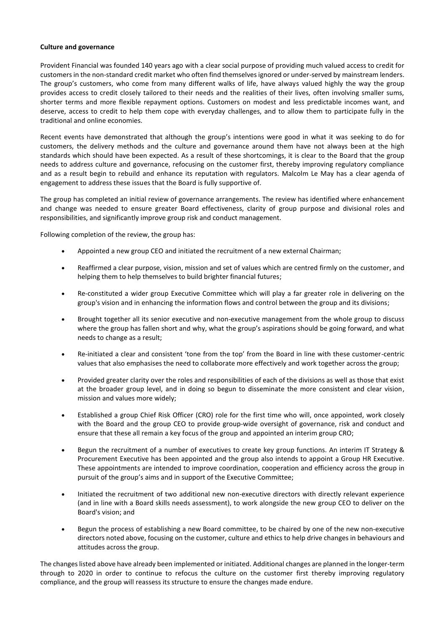#### **Culture and governance**

Provident Financial was founded 140 years ago with a clear social purpose of providing much valued access to credit for customers in the non-standard credit market who often find themselves ignored or under-served by mainstream lenders. The group's customers, who come from many different walks of life, have always valued highly the way the group provides access to credit closely tailored to their needs and the realities of their lives, often involving smaller sums, shorter terms and more flexible repayment options. Customers on modest and less predictable incomes want, and deserve, access to credit to help them cope with everyday challenges, and to allow them to participate fully in the traditional and online economies.

Recent events have demonstrated that although the group's intentions were good in what it was seeking to do for customers, the delivery methods and the culture and governance around them have not always been at the high standards which should have been expected. As a result of these shortcomings, it is clear to the Board that the group needs to address culture and governance, refocusing on the customer first, thereby improving regulatory compliance and as a result begin to rebuild and enhance its reputation with regulators. Malcolm Le May has a clear agenda of engagement to address these issues that the Board is fully supportive of.

The group has completed an initial review of governance arrangements. The review has identified where enhancement and change was needed to ensure greater Board effectiveness, clarity of group purpose and divisional roles and responsibilities, and significantly improve group risk and conduct management.

Following completion of the review, the group has:

- Appointed a new group CEO and initiated the recruitment of a new external Chairman;
- Reaffirmed a clear purpose, vision, mission and set of values which are centred firmly on the customer, and helping them to help themselves to build brighter financial futures;
- Re-constituted a wider group Executive Committee which will play a far greater role in delivering on the group's vision and in enhancing the information flows and control between the group and its divisions;
- Brought together all its senior executive and non-executive management from the whole group to discuss where the group has fallen short and why, what the group's aspirations should be going forward, and what needs to change as a result;
- Re-initiated a clear and consistent 'tone from the top' from the Board in line with these customer-centric values that also emphasises the need to collaborate more effectively and work together across the group;
- Provided greater clarity over the roles and responsibilities of each of the divisions as well as those that exist at the broader group level, and in doing so begun to disseminate the more consistent and clear vision, mission and values more widely;
- Established a group Chief Risk Officer (CRO) role for the first time who will, once appointed, work closely with the Board and the group CEO to provide group-wide oversight of governance, risk and conduct and ensure that these all remain a key focus of the group and appointed an interim group CRO;
- Begun the recruitment of a number of executives to create key group functions. An interim IT Strategy & Procurement Executive has been appointed and the group also intends to appoint a Group HR Executive. These appointments are intended to improve coordination, cooperation and efficiency across the group in pursuit of the group's aims and in support of the Executive Committee;
- Initiated the recruitment of two additional new non-executive directors with directly relevant experience (and in line with a Board skills needs assessment), to work alongside the new group CEO to deliver on the Board's vision; and
- Begun the process of establishing a new Board committee, to be chaired by one of the new non-executive directors noted above, focusing on the customer, culture and ethics to help drive changes in behaviours and attitudes across the group.

The changes listed above have already been implemented or initiated. Additional changes are planned in the longer-term through to 2020 in order to continue to refocus the culture on the customer first thereby improving regulatory compliance, and the group will reassess its structure to ensure the changes made endure.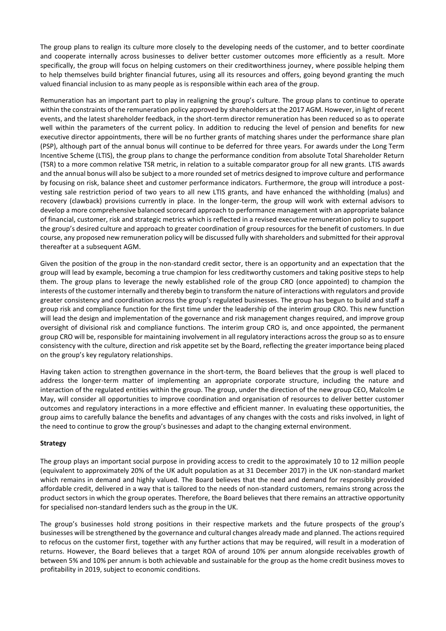The group plans to realign its culture more closely to the developing needs of the customer, and to better coordinate and cooperate internally across businesses to deliver better customer outcomes more efficiently as a result. More specifically, the group will focus on helping customers on their creditworthiness journey, where possible helping them to help themselves build brighter financial futures, using all its resources and offers, going beyond granting the much valued financial inclusion to as many people as is responsible within each area of the group.

Remuneration has an important part to play in realigning the group's culture. The group plans to continue to operate within the constraints of the remuneration policy approved by shareholders at the 2017 AGM. However, in light of recent events, and the latest shareholder feedback, in the short-term director remuneration has been reduced so as to operate well within the parameters of the current policy. In addition to reducing the level of pension and benefits for new executive director appointments, there will be no further grants of matching shares under the performance share plan (PSP), although part of the annual bonus will continue to be deferred for three years. For awards under the Long Term Incentive Scheme (LTIS), the group plans to change the performance condition from absolute Total Shareholder Return (TSR) to a more common relative TSR metric, in relation to a suitable comparator group for all new grants. LTIS awards and the annual bonus will also be subject to a more rounded set of metrics designed to improve culture and performance by focusing on risk, balance sheet and customer performance indicators. Furthermore, the group will introduce a postvesting sale restriction period of two years to all new LTIS grants, and have enhanced the withholding (malus) and recovery (clawback) provisions currently in place. In the longer-term, the group will work with external advisors to develop a more comprehensive balanced scorecard approach to performance management with an appropriate balance of financial, customer, risk and strategic metrics which is reflected in a revised executive remuneration policy to support the group's desired culture and approach to greater coordination of group resources for the benefit of customers. In due course, any proposed new remuneration policy will be discussed fully with shareholders and submitted for their approval thereafter at a subsequent AGM.

Given the position of the group in the non-standard credit sector, there is an opportunity and an expectation that the group will lead by example, becoming a true champion for less creditworthy customers and taking positive steps to help them. The group plans to leverage the newly established role of the group CRO (once appointed) to champion the interests of the customer internally and thereby begin to transform the nature of interactions with regulators and provide greater consistency and coordination across the group's regulated businesses. The group has begun to build and staff a group risk and compliance function for the first time under the leadership of the interim group CRO. This new function will lead the design and implementation of the governance and risk management changes required, and improve group oversight of divisional risk and compliance functions. The interim group CRO is, and once appointed, the permanent group CRO will be, responsible for maintaining involvement in all regulatory interactions across the group so as to ensure consistency with the culture, direction and risk appetite set by the Board, reflecting the greater importance being placed on the group's key regulatory relationships.

Having taken action to strengthen governance in the short-term, the Board believes that the group is well placed to address the longer-term matter of implementing an appropriate corporate structure, including the nature and interaction of the regulated entities within the group. The group, under the direction of the new group CEO, Malcolm Le May, will consider all opportunities to improve coordination and organisation of resources to deliver better customer outcomes and regulatory interactions in a more effective and efficient manner. In evaluating these opportunities, the group aims to carefully balance the benefits and advantages of any changes with the costs and risks involved, in light of the need to continue to grow the group's businesses and adapt to the changing external environment.

## **Strategy**

The group plays an important social purpose in providing access to credit to the approximately 10 to 12 million people (equivalent to approximately 20% of the UK adult population as at 31 December 2017) in the UK non-standard market which remains in demand and highly valued. The Board believes that the need and demand for responsibly provided affordable credit, delivered in a way that is tailored to the needs of non-standard customers, remains strong across the product sectors in which the group operates. Therefore, the Board believes that there remains an attractive opportunity for specialised non-standard lenders such as the group in the UK.

The group's businesses hold strong positions in their respective markets and the future prospects of the group's businesses will be strengthened by the governance and cultural changes already made and planned. The actions required to refocus on the customer first, together with any further actions that may be required, will result in a moderation of returns. However, the Board believes that a target ROA of around 10% per annum alongside receivables growth of between 5% and 10% per annum is both achievable and sustainable for the group as the home credit business moves to profitability in 2019, subject to economic conditions.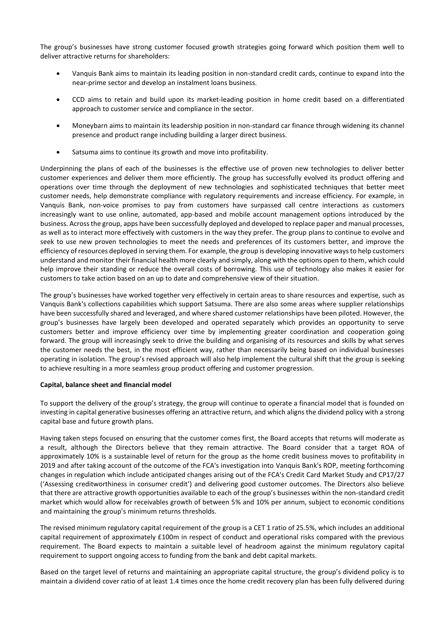The group's businesses have strong customer focused growth strategies going forward which position them well to deliver attractive returns for shareholders:

- Vanquis Bank aims to maintain its leading position in non-standard credit cards, continue to expand into the near-prime sector and develop an instalment loans business.
- CCD aims to retain and build upon its market-leading position in home credit based on a differentiated approach to customer service and compliance in the sector.
- Moneybarn aims to maintain its leadership position in non-standard car finance through widening its channel presence and product range including building a larger direct business.
- Satsuma aims to continue its growth and move into profitability.

Underpinning the plans of each of the businesses is the effective use of proven new technologies to deliver better customer experiences and deliver them more efficiently. The group has successfully evolved its product offering and operations over time through the deployment of new technologies and sophisticated techniques that better meet customer needs, help demonstrate compliance with regulatory requirements and increase efficiency. For example, in Vanquis Bank, non-voice promises to pay from customers have surpassed call centre interactions as customers increasingly want to use online, automated, app-based and mobile account management options introduced by the business. Across the group, apps have been successfully deployed and developed to replace paper and manual processes, as well as to interact more effectively with customers in the way they prefer. The group plans to continue to evolve and seek to use new proven technologies to meet the needs and preferences of its customers better, and improve the efficiency of resources deployed in serving them. For example, the group is developing innovative ways to help customers understand and monitor their financial health more clearly and simply, along with the options open to them, which could help improve their standing or reduce the overall costs of borrowing. This use of technology also makes it easier for customers to take action based on an up to date and comprehensive view of their situation.

The group's businesses have worked together very effectively in certain areas to share resources and expertise, such as Vanquis Bank's collections capabilities which support Satsuma. There are also some areas where supplier relationships have been successfully shared and leveraged, and where shared customer relationships have been piloted. However, the group's businesses have largely been developed and operated separately which provides an opportunity to serve customers better and improve efficiency over time by implementing greater coordination and cooperation going forward. The group will increasingly seek to drive the building and organising of its resources and skills by what serves the customer needs the best, in the most efficient way, rather than necessarily being based on individual businesses operating in isolation. The group's revised approach will also help implement the cultural shift that the group is seeking to achieve resulting in a more seamless group product offering and customer progression.

## **Capital, balance sheet and financial model**

To support the delivery of the group's strategy, the group will continue to operate a financial model that is founded on investing in capital generative businesses offering an attractive return, and which aligns the dividend policy with a strong capital base and future growth plans.

Having taken steps focused on ensuring that the customer comes first, the Board accepts that returns will moderate as a result, although the Directors believe that they remain attractive. The Board consider that a target ROA of approximately 10% is a sustainable level of return for the group as the home credit business moves to profitability in 2019 and after taking account of the outcome of the FCA's investigation into Vanquis Bank's ROP, meeting forthcoming changes in regulation which include anticipated changes arising out of the FCA's Credit Card Market Study and CP17/27 ('Assessing creditworthiness in consumer credit') and delivering good customer outcomes. The Directors also believe that there are attractive growth opportunities available to each of the group's businesses within the non-standard credit market which would allow for receivables growth of between 5% and 10% per annum, subject to economic conditions and maintaining the group's minimum returns thresholds.

The revised minimum regulatory capital requirement of the group is a CET 1 ratio of 25.5%, which includes an additional capital requirement of approximately £100m in respect of conduct and operational risks compared with the previous requirement. The Board expects to maintain a suitable level of headroom against the minimum regulatory capital requirement to support ongoing access to funding from the bank and debt capital markets.

Based on the target level of returns and maintaining an appropriate capital structure, the group's dividend policy is to maintain a dividend cover ratio of at least 1.4 times once the home credit recovery plan has been fully delivered during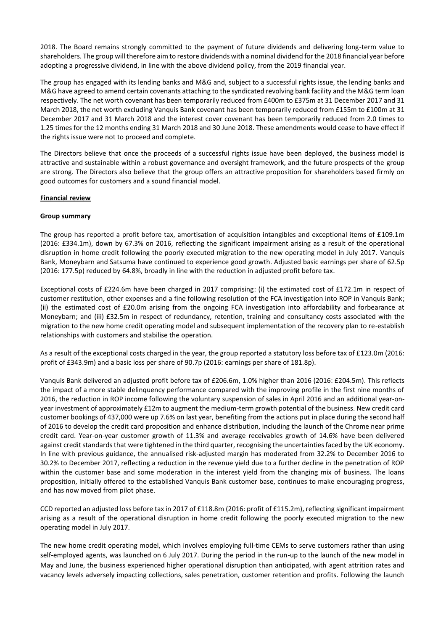2018. The Board remains strongly committed to the payment of future dividends and delivering long-term value to shareholders. The group will therefore aim to restore dividends with a nominal dividend for the 2018 financial year before adopting a progressive dividend, in line with the above dividend policy, from the 2019 financial year.

The group has engaged with its lending banks and M&G and, subject to a successful rights issue, the lending banks and M&G have agreed to amend certain covenants attaching to the syndicated revolving bank facility and the M&G term loan respectively. The net worth covenant has been temporarily reduced from £400m to £375m at 31 December 2017 and 31 March 2018, the net worth excluding Vanquis Bank covenant has been temporarily reduced from £155m to £100m at 31 December 2017 and 31 March 2018 and the interest cover covenant has been temporarily reduced from 2.0 times to 1.25 times for the 12 months ending 31 March 2018 and 30 June 2018. These amendments would cease to have effect if the rights issue were not to proceed and complete.

The Directors believe that once the proceeds of a successful rights issue have been deployed, the business model is attractive and sustainable within a robust governance and oversight framework, and the future prospects of the group are strong. The Directors also believe that the group offers an attractive proposition for shareholders based firmly on good outcomes for customers and a sound financial model.

## **Financial review**

## **Group summary**

The group has reported a profit before tax, amortisation of acquisition intangibles and exceptional items of £109.1m (2016: £334.1m), down by 67.3% on 2016, reflecting the significant impairment arising as a result of the operational disruption in home credit following the poorly executed migration to the new operating model in July 2017. Vanquis Bank, Moneybarn and Satsuma have continued to experience good growth. Adjusted basic earnings per share of 62.5p (2016: 177.5p) reduced by 64.8%, broadly in line with the reduction in adjusted profit before tax.

Exceptional costs of £224.6m have been charged in 2017 comprising: (i) the estimated cost of £172.1m in respect of customer restitution, other expenses and a fine following resolution of the FCA investigation into ROP in Vanquis Bank; (ii) the estimated cost of £20.0m arising from the ongoing FCA investigation into affordability and forbearance at Moneybarn; and (iii) £32.5m in respect of redundancy, retention, training and consultancy costs associated with the migration to the new home credit operating model and subsequent implementation of the recovery plan to re-establish relationships with customers and stabilise the operation.

As a result of the exceptional costs charged in the year, the group reported a statutory loss before tax of £123.0m (2016: profit of £343.9m) and a basic loss per share of 90.7p (2016: earnings per share of 181.8p).

Vanquis Bank delivered an adjusted profit before tax of £206.6m, 1.0% higher than 2016 (2016: £204.5m). This reflects the impact of a more stable delinquency performance compared with the improving profile in the first nine months of 2016, the reduction in ROP income following the voluntary suspension of sales in April 2016 and an additional year-onyear investment of approximately £12m to augment the medium-term growth potential of the business. New credit card customer bookings of 437,000 were up 7.6% on last year, benefiting from the actions put in place during the second half of 2016 to develop the credit card proposition and enhance distribution, including the launch of the Chrome near prime credit card. Year-on-year customer growth of 11.3% and average receivables growth of 14.6% have been delivered against credit standards that were tightened in the third quarter, recognising the uncertainties faced by the UK economy. In line with previous guidance, the annualised risk-adjusted margin has moderated from 32.2% to December 2016 to 30.2% to December 2017, reflecting a reduction in the revenue yield due to a further decline in the penetration of ROP within the customer base and some moderation in the interest yield from the changing mix of business. The loans proposition, initially offered to the established Vanquis Bank customer base, continues to make encouraging progress, and has now moved from pilot phase.

CCD reported an adjusted loss before tax in 2017 of £118.8m (2016: profit of £115.2m), reflecting significant impairment arising as a result of the operational disruption in home credit following the poorly executed migration to the new operating model in July 2017.

The new home credit operating model, which involves employing full-time CEMs to serve customers rather than using self-employed agents, was launched on 6 July 2017. During the period in the run-up to the launch of the new model in May and June, the business experienced higher operational disruption than anticipated, with agent attrition rates and vacancy levels adversely impacting collections, sales penetration, customer retention and profits. Following the launch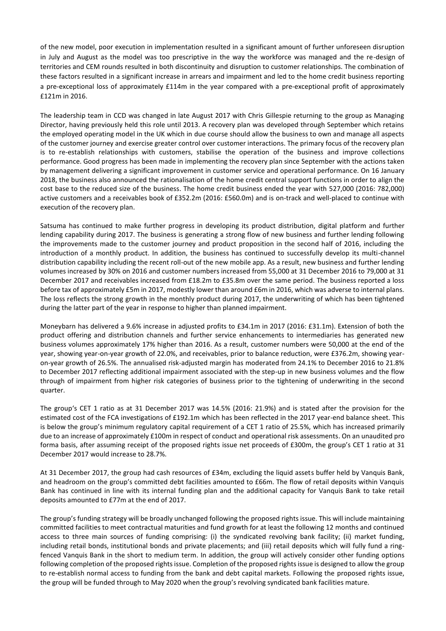of the new model, poor execution in implementation resulted in a significant amount of further unforeseen disruption in July and August as the model was too prescriptive in the way the workforce was managed and the re-design of territories and CEM rounds resulted in both discontinuity and disruption to customer relationships. The combination of these factors resulted in a significant increase in arrears and impairment and led to the home credit business reporting a pre-exceptional loss of approximately £114m in the year compared with a pre-exceptional profit of approximately £121m in 2016.

The leadership team in CCD was changed in late August 2017 with Chris Gillespie returning to the group as Managing Director, having previously held this role until 2013. A recovery plan was developed through September which retains the employed operating model in the UK which in due course should allow the business to own and manage all aspects of the customer journey and exercise greater control over customer interactions. The primary focus of the recovery plan is to re-establish relationships with customers, stabilise the operation of the business and improve collections performance. Good progress has been made in implementing the recovery plan since September with the actions taken by management delivering a significant improvement in customer service and operational performance. On 16 January 2018, the business also announced the rationalisation of the home credit central support functions in order to align the cost base to the reduced size of the business. The home credit business ended the year with 527,000 (2016: 782,000) active customers and a receivables book of £352.2m (2016: £560.0m) and is on-track and well-placed to continue with execution of the recovery plan.

Satsuma has continued to make further progress in developing its product distribution, digital platform and further lending capability during 2017. The business is generating a strong flow of new business and further lending following the improvements made to the customer journey and product proposition in the second half of 2016, including the introduction of a monthly product. In addition, the business has continued to successfully develop its multi-channel distribution capability including the recent roll-out of the new mobile app. As a result, new business and further lending volumes increased by 30% on 2016 and customer numbers increased from 55,000 at 31 December 2016 to 79,000 at 31 December 2017 and receivables increased from £18.2m to £35.8m over the same period. The business reported a loss before tax of approximately £5m in 2017, modestly lower than around £6m in 2016, which was adverse to internal plans. The loss reflects the strong growth in the monthly product during 2017, the underwriting of which has been tightened during the latter part of the year in response to higher than planned impairment.

Moneybarn has delivered a 9.6% increase in adjusted profits to £34.1m in 2017 (2016: £31.1m). Extension of both the product offering and distribution channels and further service enhancements to intermediaries has generated new business volumes approximately 17% higher than 2016. As a result, customer numbers were 50,000 at the end of the year, showing year-on-year growth of 22.0%, and receivables, prior to balance reduction, were £376.2m, showing yearon-year growth of 26.5%. The annualised risk-adjusted margin has moderated from 24.1% to December 2016 to 21.8% to December 2017 reflecting additional impairment associated with the step-up in new business volumes and the flow through of impairment from higher risk categories of business prior to the tightening of underwriting in the second quarter.

The group's CET 1 ratio as at 31 December 2017 was 14.5% (2016: 21.9%) and is stated after the provision for the estimated cost of the FCA investigations of £192.1m which has been reflected in the 2017 year-end balance sheet. This is below the group's minimum regulatory capital requirement of a CET 1 ratio of 25.5%, which has increased primarily due to an increase of approximately £100m in respect of conduct and operational risk assessments. On an unaudited pro forma basis, after assuming receipt of the proposed rights issue net proceeds of £300m, the group's CET 1 ratio at 31 December 2017 would increase to 28.7%.

At 31 December 2017, the group had cash resources of £34m, excluding the liquid assets buffer held by Vanquis Bank, and headroom on the group's committed debt facilities amounted to £66m. The flow of retail deposits within Vanquis Bank has continued in line with its internal funding plan and the additional capacity for Vanquis Bank to take retail deposits amounted to £77m at the end of 2017.

The group's funding strategy will be broadly unchanged following the proposed rights issue. This will include maintaining committed facilities to meet contractual maturities and fund growth for at least the following 12 months and continued access to three main sources of funding comprising: (i) the syndicated revolving bank facility; (ii) market funding, including retail bonds, institutional bonds and private placements; and (iii) retail deposits which will fully fund a ringfenced Vanquis Bank in the short to medium term. In addition, the group will actively consider other funding options following completion of the proposed rights issue. Completion of the proposed rights issue is designed to allow the group to re-establish normal access to funding from the bank and debt capital markets. Following the proposed rights issue, the group will be funded through to May 2020 when the group's revolving syndicated bank facilities mature.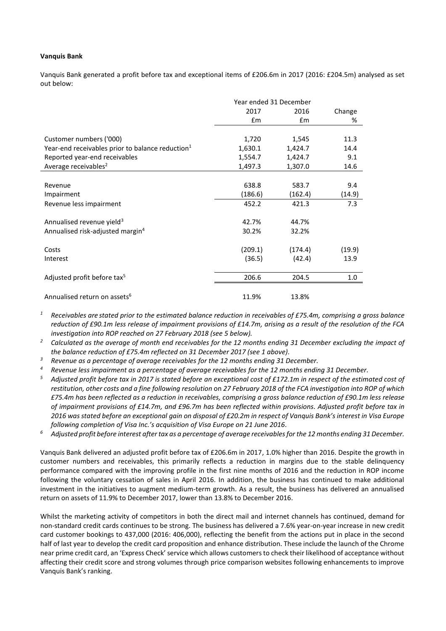#### **Vanquis Bank**

Vanquis Bank generated a profit before tax and exceptional items of £206.6m in 2017 (2016: £204.5m) analysed as set out below:

|                                                              | Year ended 31 December |         |        |
|--------------------------------------------------------------|------------------------|---------|--------|
|                                                              | 2017                   | 2016    | Change |
|                                                              | £m                     | Em      | %      |
| Customer numbers ('000)                                      | 1,720                  | 1,545   | 11.3   |
| Year-end receivables prior to balance reduction <sup>1</sup> | 1,630.1                | 1,424.7 | 14.4   |
| Reported year-end receivables                                | 1,554.7                | 1,424.7 | 9.1    |
| Average receivables <sup>2</sup>                             | 1,497.3                | 1,307.0 | 14.6   |
|                                                              |                        |         |        |
| Revenue                                                      | 638.8                  | 583.7   | 9.4    |
| Impairment                                                   | (186.6)                | (162.4) | (14.9) |
| Revenue less impairment                                      | 452.2                  | 421.3   | 7.3    |
| Annualised revenue yield <sup>3</sup>                        | 42.7%                  | 44.7%   |        |
| Annualised risk-adjusted margin <sup>4</sup>                 | 30.2%                  | 32.2%   |        |
| Costs                                                        | (209.1)                | (174.4) | (19.9) |
| Interest                                                     | (36.5)                 | (42.4)  | 13.9   |
| Adjusted profit before tax <sup>5</sup>                      | 206.6                  | 204.5   | 1.0    |
|                                                              |                        |         |        |
| Annualised return on assets <sup>6</sup>                     | 11.9%                  | 13.8%   |        |

*<sup>1</sup> Receivables are stated prior to the estimated balance reduction in receivables of £75.4m, comprising a gross balance reduction of £90.1m less release of impairment provisions of £14.7m, arising as a result of the resolution of the FCA investigation into ROP reached on 27 February 2018 (see 5 below).*

*<sup>2</sup> Calculated as the average of month end receivables for the 12 months ending 31 December excluding the impact of the balance reduction of £75.4m reflected on 31 December 2017 (see 1 above).*

- *<sup>3</sup> Revenue as a percentage of average receivables for the 12 months ending 31 December.*
- *<sup>4</sup> Revenue less impairment as a percentage of average receivables for the 12 months ending 31 December.*
- *<sup>5</sup> Adjusted profit before tax in 2017 is stated before an exceptional cost of £172.1m in respect of the estimated cost of restitution, other costs and a fine following resolution* on *27 February 2018 of the FCA investigation into ROP of which £75.4m has been reflected as a reduction in receivables, comprising a gross balance reduction of £90.1m less release of impairment provisions of £14.7m, and £96.7m has been reflected within provisions. Adjusted profit before tax in 2016 was stated before an exceptional gain on disposal of £20.2m in respect of Vanquis Bank's interest in Visa Europe following completion of Visa Inc.'s acquisition of Visa Europe on 21 June 2016.*
- *<sup>6</sup> Adjusted profit before interest after tax as a percentage of average receivablesfor the 12 months ending 31 December.*

Vanquis Bank delivered an adjusted profit before tax of £206.6m in 2017, 1.0% higher than 2016. Despite the growth in customer numbers and receivables, this primarily reflects a reduction in margins due to the stable delinquency performance compared with the improving profile in the first nine months of 2016 and the reduction in ROP income following the voluntary cessation of sales in April 2016. In addition, the business has continued to make additional investment in the initiatives to augment medium-term growth. As a result, the business has delivered an annualised return on assets of 11.9% to December 2017, lower than 13.8% to December 2016.

Whilst the marketing activity of competitors in both the direct mail and internet channels has continued, demand for non-standard credit cards continues to be strong. The business has delivered a 7.6% year-on-year increase in new credit card customer bookings to 437,000 (2016: 406,000), reflecting the benefit from the actions put in place in the second half of last year to develop the credit card proposition and enhance distribution. These include the launch of the Chrome near prime credit card, an 'Express Check' service which allows customers to check their likelihood of acceptance without affecting their credit score and strong volumes through price comparison websites following enhancements to improve Vanquis Bank's ranking.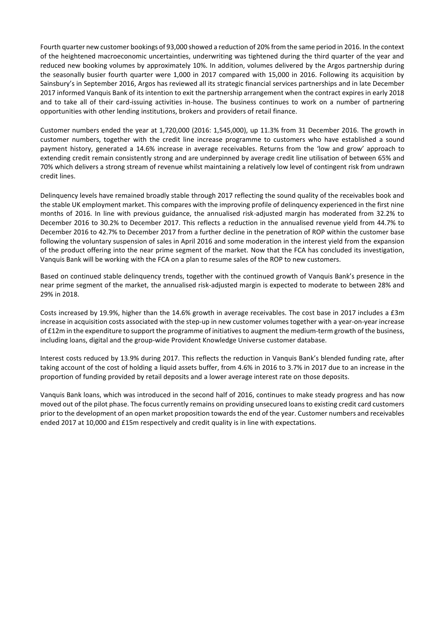Fourth quarter new customer bookings of 93,000 showed a reduction of 20% from the same period in 2016. In the context of the heightened macroeconomic uncertainties, underwriting was tightened during the third quarter of the year and reduced new booking volumes by approximately 10%. In addition, volumes delivered by the Argos partnership during the seasonally busier fourth quarter were 1,000 in 2017 compared with 15,000 in 2016. Following its acquisition by Sainsbury's in September 2016, Argos has reviewed all its strategic financial services partnerships and in late December 2017 informed Vanquis Bank of its intention to exit the partnership arrangement when the contract expires in early 2018 and to take all of their card-issuing activities in-house. The business continues to work on a number of partnering opportunities with other lending institutions, brokers and providers of retail finance.

Customer numbers ended the year at 1,720,000 (2016: 1,545,000), up 11.3% from 31 December 2016. The growth in customer numbers, together with the credit line increase programme to customers who have established a sound payment history, generated a 14.6% increase in average receivables. Returns from the 'low and grow' approach to extending credit remain consistently strong and are underpinned by average credit line utilisation of between 65% and 70% which delivers a strong stream of revenue whilst maintaining a relatively low level of contingent risk from undrawn credit lines.

Delinquency levels have remained broadly stable through 2017 reflecting the sound quality of the receivables book and the stable UK employment market. This compares with the improving profile of delinquency experienced in the first nine months of 2016. In line with previous guidance, the annualised risk-adjusted margin has moderated from 32.2% to December 2016 to 30.2% to December 2017. This reflects a reduction in the annualised revenue yield from 44.7% to December 2016 to 42.7% to December 2017 from a further decline in the penetration of ROP within the customer base following the voluntary suspension of sales in April 2016 and some moderation in the interest yield from the expansion of the product offering into the near prime segment of the market. Now that the FCA has concluded its investigation, Vanquis Bank will be working with the FCA on a plan to resume sales of the ROP to new customers.

Based on continued stable delinquency trends, together with the continued growth of Vanquis Bank's presence in the near prime segment of the market, the annualised risk-adjusted margin is expected to moderate to between 28% and 29% in 2018.

Costs increased by 19.9%, higher than the 14.6% growth in average receivables. The cost base in 2017 includes a £3m increase in acquisition costs associated with the step-up in new customer volumes together with a year-on-year increase of £12m in the expenditure to support the programme of initiatives to augment the medium-term growth of the business, including loans, digital and the group-wide Provident Knowledge Universe customer database.

Interest costs reduced by 13.9% during 2017. This reflects the reduction in Vanquis Bank's blended funding rate, after taking account of the cost of holding a liquid assets buffer, from 4.6% in 2016 to 3.7% in 2017 due to an increase in the proportion of funding provided by retail deposits and a lower average interest rate on those deposits.

Vanquis Bank loans, which was introduced in the second half of 2016, continues to make steady progress and has now moved out of the pilot phase. The focus currently remains on providing unsecured loans to existing credit card customers prior to the development of an open market proposition towards the end of the year. Customer numbers and receivables ended 2017 at 10,000 and £15m respectively and credit quality is in line with expectations.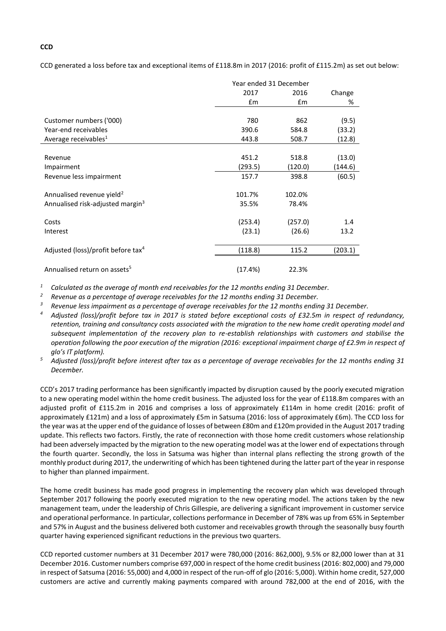CCD generated a loss before tax and exceptional items of £118.8m in 2017 (2016: profit of £115.2m) as set out below:

|                                                |         | Year ended 31 December |         |  |
|------------------------------------------------|---------|------------------------|---------|--|
|                                                | 2017    | 2016                   | Change  |  |
|                                                | Em      | £m                     | %       |  |
|                                                |         |                        |         |  |
| Customer numbers ('000)                        | 780     | 862                    | (9.5)   |  |
| Year-end receivables                           | 390.6   | 584.8                  | (33.2)  |  |
| Average receivables <sup>1</sup>               | 443.8   | 508.7                  | (12.8)  |  |
|                                                |         |                        |         |  |
| Revenue                                        | 451.2   | 518.8                  | (13.0)  |  |
| Impairment                                     | (293.5) | (120.0)                | (144.6) |  |
| Revenue less impairment                        | 157.7   | 398.8                  | (60.5)  |  |
|                                                |         |                        |         |  |
| Annualised revenue yield <sup>2</sup>          | 101.7%  | 102.0%                 |         |  |
| Annualised risk-adjusted margin <sup>3</sup>   | 35.5%   | 78.4%                  |         |  |
|                                                |         |                        |         |  |
| Costs                                          | (253.4) | (257.0)                | 1.4     |  |
| Interest                                       | (23.1)  | (26.6)                 | 13.2    |  |
|                                                |         |                        |         |  |
| Adjusted (loss)/profit before tax <sup>4</sup> | (118.8) | 115.2                  | (203.1) |  |
|                                                |         |                        |         |  |
| Annualised return on assets <sup>5</sup>       | (17.4%) | 22.3%                  |         |  |

*<sup>1</sup> Calculated as the average of month end receivables for the 12 months ending 31 December.*

*<sup>2</sup> Revenue as a percentage of average receivables for the 12 months ending 31 December.*

*<sup>3</sup> Revenue less impairment as a percentage of average receivables for the 12 months ending 31 December.*

- *<sup>4</sup> Adjusted (loss)/profit before tax in 2017 is stated before exceptional costs of £32.5m in respect of redundancy, retention, training and consultancy costs associated with the migration to the new home credit operating model and subsequent implementation of the recovery plan to re-establish relationships with customers and stabilise the operation following the poor execution of the migration (2016: exceptional impairment charge of £2.9m in respect of glo's IT platform).*
- *<sup>5</sup> Adjusted (loss)/profit before interest after tax as a percentage of average receivables for the 12 months ending 31 December.*

CCD's 2017 trading performance has been significantly impacted by disruption caused by the poorly executed migration to a new operating model within the home credit business. The adjusted loss for the year of £118.8m compares with an adjusted profit of £115.2m in 2016 and comprises a loss of approximately £114m in home credit (2016: profit of approximately £121m) and a loss of approximately £5m in Satsuma (2016: loss of approximately £6m). The CCD loss for the year was at the upper end of the guidance of losses of between £80m and £120m provided in the August 2017 trading update. This reflects two factors. Firstly, the rate of reconnection with those home credit customers whose relationship had been adversely impacted by the migration to the new operating model was at the lower end of expectations through the fourth quarter. Secondly, the loss in Satsuma was higher than internal plans reflecting the strong growth of the monthly product during 2017, the underwriting of which has been tightened during the latter part of the year in response to higher than planned impairment.

The home credit business has made good progress in implementing the recovery plan which was developed through September 2017 following the poorly executed migration to the new operating model. The actions taken by the new management team, under the leadership of Chris Gillespie, are delivering a significant improvement in customer service and operational performance. In particular, collections performance in December of 78% was up from 65% in September and 57% in August and the business delivered both customer and receivables growth through the seasonally busy fourth quarter having experienced significant reductions in the previous two quarters.

CCD reported customer numbers at 31 December 2017 were 780,000 (2016: 862,000), 9.5% or 82,000 lower than at 31 December 2016. Customer numbers comprise 697,000 in respect of the home credit business (2016: 802,000) and 79,000 in respect of Satsuma (2016: 55,000) and 4,000 in respect of the run-off of glo (2016: 5,000). Within home credit, 527,000 customers are active and currently making payments compared with around 782,000 at the end of 2016, with the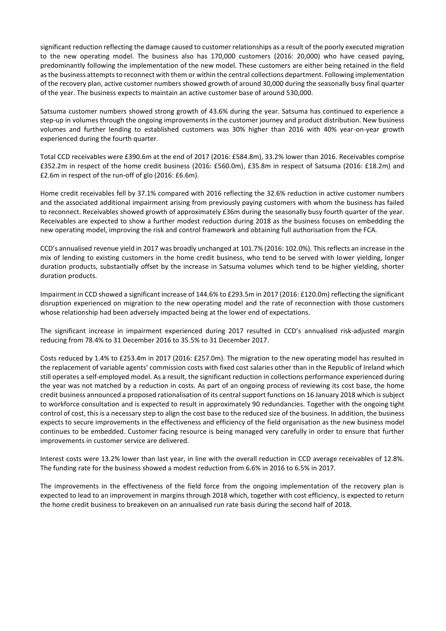significant reduction reflecting the damage caused to customer relationships as a result of the poorly executed migration to the new operating model. The business also has 170,000 customers (2016: 20,000) who have ceased paying, predominantly following the implementation of the new model. These customers are either being retained in the field as the business attempts to reconnect with them or within the central collections department. Following implementation of the recovery plan, active customer numbers showed growth of around 30,000 during the seasonally busy final quarter of the year. The business expects to maintain an active customer base of around 530,000.

Satsuma customer numbers showed strong growth of 43.6% during the year. Satsuma has continued to experience a step-up in volumes through the ongoing improvements in the customer journey and product distribution. New business volumes and further lending to established customers was 30% higher than 2016 with 40% year-on-year growth experienced during the fourth quarter.

Total CCD receivables were £390.6m at the end of 2017 (2016: £584.8m), 33.2% lower than 2016. Receivables comprise £352.2m in respect of the home credit business (2016: £560.0m), £35.8m in respect of Satsuma (2016: £18.2m) and £2.6m in respect of the run-off of glo (2016: £6.6m).

Home credit receivables fell by 37.1% compared with 2016 reflecting the 32.6% reduction in active customer numbers and the associated additional impairment arising from previously paying customers with whom the business has failed to reconnect. Receivables showed growth of approximately £36m during the seasonally busy fourth quarter of the year. Receivables are expected to show a further modest reduction during 2018 as the business focuses on embedding the new operating model, improving the risk and control framework and obtaining full authorisation from the FCA.

CCD's annualised revenue yield in 2017 was broadly unchanged at 101.7% (2016: 102.0%). This reflects an increase in the mix of lending to existing customers in the home credit business, who tend to be served with lower yielding, longer duration products, substantially offset by the increase in Satsuma volumes which tend to be higher yielding, shorter duration products.

Impairment in CCD showed a significant increase of 144.6% to £293.5m in 2017 (2016: £120.0m) reflecting the significant disruption experienced on migration to the new operating model and the rate of reconnection with those customers whose relationship had been adversely impacted being at the lower end of expectations.

The significant increase in impairment experienced during 2017 resulted in CCD's annualised risk-adjusted margin reducing from 78.4% to 31 December 2016 to 35.5% to 31 December 2017.

Costs reduced by 1.4% to £253.4m in 2017 (2016: £257.0m). The migration to the new operating model has resulted in the replacement of variable agents' commission costs with fixed cost salaries other than in the Republic of Ireland which still operates a self-employed model. As a result, the significant reduction in collections performance experienced during the year was not matched by a reduction in costs. As part of an ongoing process of reviewing its cost base, the home credit business announced a proposed rationalisation of its central support functions on 16 January 2018 which is subject to workforce consultation and is expected to result in approximately 90 redundancies. Together with the ongoing tight control of cost, this is a necessary step to align the cost base to the reduced size of the business. In addition, the business expects to secure improvements in the effectiveness and efficiency of the field organisation as the new business model continues to be embedded. Customer facing resource is being managed very carefully in order to ensure that further improvements in customer service are delivered.

Interest costs were 13.2% lower than last year, in line with the overall reduction in CCD average receivables of 12.8%. The funding rate for the business showed a modest reduction from 6.6% in 2016 to 6.5% in 2017.

The improvements in the effectiveness of the field force from the ongoing implementation of the recovery plan is expected to lead to an improvement in margins through 2018 which, together with cost efficiency, is expected to return the home credit business to breakeven on an annualised run rate basis during the second half of 2018.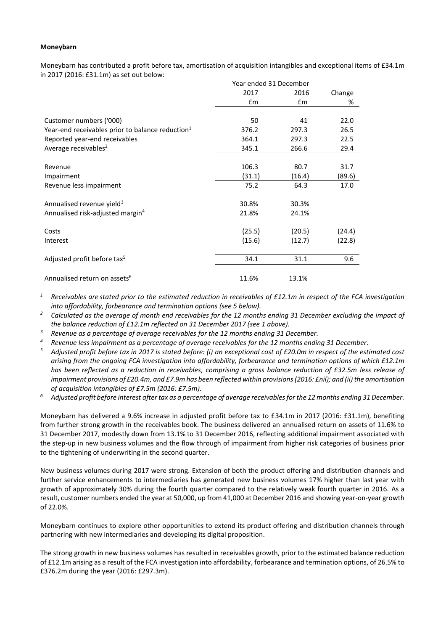#### **Moneybarn**

Moneybarn has contributed a profit before tax, amortisation of acquisition intangibles and exceptional items of £34.1m in 2017 (2016: £31.1m) as set out below:

|                                                              | Year ended 31 December |        |        |
|--------------------------------------------------------------|------------------------|--------|--------|
|                                                              | 2017                   | 2016   | Change |
|                                                              | Em                     | £m     | %      |
|                                                              |                        |        |        |
| Customer numbers ('000)                                      | 50                     | 41     | 22.0   |
| Year-end receivables prior to balance reduction <sup>1</sup> | 376.2                  | 297.3  | 26.5   |
| Reported year-end receivables                                | 364.1                  | 297.3  | 22.5   |
| Average receivables <sup>2</sup>                             | 345.1                  | 266.6  | 29.4   |
|                                                              |                        |        |        |
| Revenue                                                      | 106.3                  | 80.7   | 31.7   |
| Impairment                                                   | (31.1)                 | (16.4) | (89.6) |
| Revenue less impairment                                      | 75.2                   | 64.3   | 17.0   |
| Annualised revenue yield <sup>3</sup>                        | 30.8%                  | 30.3%  |        |
| Annualised risk-adjusted margin <sup>4</sup>                 | 21.8%                  | 24.1%  |        |
| Costs                                                        | (25.5)                 | (20.5) | (24.4) |
| Interest                                                     | (15.6)                 | (12.7) | (22.8) |
| Adjusted profit before tax <sup>5</sup>                      | 34.1                   | 31.1   | 9.6    |
|                                                              |                        |        |        |
| Annualised return on assets <sup>6</sup>                     | 11.6%                  | 13.1%  |        |

*<sup>1</sup> Receivables are stated prior to the estimated reduction in receivables of £12.1m in respect of the FCA investigation into affordability, forbearance and termination options (see 5 below).*

*<sup>2</sup> Calculated as the average of month end receivables for the 12 months ending 31 December excluding the impact of the balance reduction of £12.1m reflected on 31 December 2017 (see 1 above).*

- *<sup>3</sup> Revenue as a percentage of average receivables for the 12 months ending 31 December.*
- *<sup>4</sup> Revenue less impairment as a percentage of average receivables for the 12 months ending 31 December.*
- *<sup>5</sup> Adjusted profit before tax in 2017 is stated before: (i) an exceptional cost of £20.0m in respect of the estimated cost arising from the ongoing FCA investigation into affordability, forbearance and termination options of which £12.1m has been reflected as a reduction in receivables, comprising a gross balance reduction of £32.5m less release of impairment provisions of £20.4m, and £7.9m has been reflected within provisions(2016: £nil); and (ii) the amortisation of acquisition intangibles of £7.5m (2016: £7.5m).*
- *<sup>6</sup> Adjusted profit before interest after tax as a percentage of average receivablesfor the 12 months ending 31 December.*

Moneybarn has delivered a 9.6% increase in adjusted profit before tax to £34.1m in 2017 (2016: £31.1m), benefiting from further strong growth in the receivables book. The business delivered an annualised return on assets of 11.6% to 31 December 2017, modestly down from 13.1% to 31 December 2016, reflecting additional impairment associated with the step-up in new business volumes and the flow through of impairment from higher risk categories of business prior to the tightening of underwriting in the second quarter.

New business volumes during 2017 were strong. Extension of both the product offering and distribution channels and further service enhancements to intermediaries has generated new business volumes 17% higher than last year with growth of approximately 30% during the fourth quarter compared to the relatively weak fourth quarter in 2016. As a result, customer numbers ended the year at 50,000, up from 41,000 at December 2016 and showing year-on-year growth of 22.0%.

Moneybarn continues to explore other opportunities to extend its product offering and distribution channels through partnering with new intermediaries and developing its digital proposition.

The strong growth in new business volumes has resulted in receivables growth, prior to the estimated balance reduction of £12.1m arising as a result of the FCA investigation into affordability, forbearance and termination options, of 26.5% to £376.2m during the year (2016: £297.3m).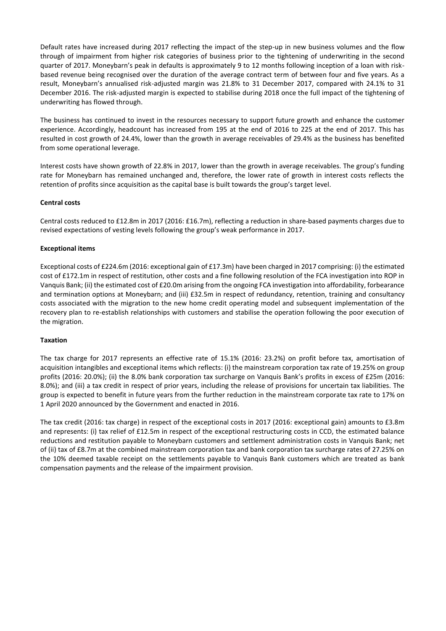Default rates have increased during 2017 reflecting the impact of the step-up in new business volumes and the flow through of impairment from higher risk categories of business prior to the tightening of underwriting in the second quarter of 2017. Moneybarn's peak in defaults is approximately 9 to 12 months following inception of a loan with riskbased revenue being recognised over the duration of the average contract term of between four and five years. As a result, Moneybarn's annualised risk-adjusted margin was 21.8% to 31 December 2017, compared with 24.1% to 31 December 2016. The risk-adjusted margin is expected to stabilise during 2018 once the full impact of the tightening of underwriting has flowed through.

The business has continued to invest in the resources necessary to support future growth and enhance the customer experience. Accordingly, headcount has increased from 195 at the end of 2016 to 225 at the end of 2017. This has resulted in cost growth of 24.4%, lower than the growth in average receivables of 29.4% as the business has benefited from some operational leverage.

Interest costs have shown growth of 22.8% in 2017, lower than the growth in average receivables. The group's funding rate for Moneybarn has remained unchanged and, therefore, the lower rate of growth in interest costs reflects the retention of profits since acquisition as the capital base is built towards the group's target level.

## **Central costs**

Central costs reduced to £12.8m in 2017 (2016: £16.7m), reflecting a reduction in share-based payments charges due to revised expectations of vesting levels following the group's weak performance in 2017.

## **Exceptional items**

Exceptional costs of £224.6m (2016: exceptional gain of £17.3m) have been charged in 2017 comprising: (i) the estimated cost of £172.1m in respect of restitution, other costs and a fine following resolution of the FCA investigation into ROP in Vanquis Bank; (ii) the estimated cost of £20.0m arising from the ongoing FCA investigation into affordability, forbearance and termination options at Moneybarn; and (iii) £32.5m in respect of redundancy, retention, training and consultancy costs associated with the migration to the new home credit operating model and subsequent implementation of the recovery plan to re-establish relationships with customers and stabilise the operation following the poor execution of the migration.

## **Taxation**

The tax charge for 2017 represents an effective rate of 15.1% (2016: 23.2%) on profit before tax, amortisation of acquisition intangibles and exceptional items which reflects: (i) the mainstream corporation tax rate of 19.25% on group profits (2016: 20.0%); (ii) the 8.0% bank corporation tax surcharge on Vanquis Bank's profits in excess of £25m (2016: 8.0%); and (iii) a tax credit in respect of prior years, including the release of provisions for uncertain tax liabilities. The group is expected to benefit in future years from the further reduction in the mainstream corporate tax rate to 17% on 1 April 2020 announced by the Government and enacted in 2016.

The tax credit (2016: tax charge) in respect of the exceptional costs in 2017 (2016: exceptional gain) amounts to £3.8m and represents: (i) tax relief of £12.5m in respect of the exceptional restructuring costs in CCD, the estimated balance reductions and restitution payable to Moneybarn customers and settlement administration costs in Vanquis Bank; net of (ii) tax of £8.7m at the combined mainstream corporation tax and bank corporation tax surcharge rates of 27.25% on the 10% deemed taxable receipt on the settlements payable to Vanquis Bank customers which are treated as bank compensation payments and the release of the impairment provision.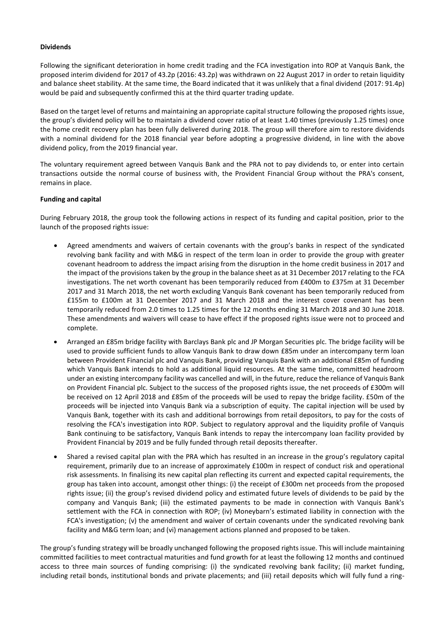#### **Dividends**

Following the significant deterioration in home credit trading and the FCA investigation into ROP at Vanquis Bank, the proposed interim dividend for 2017 of 43.2p (2016: 43.2p) was withdrawn on 22 August 2017 in order to retain liquidity and balance sheet stability. At the same time, the Board indicated that it was unlikely that a final dividend (2017: 91.4p) would be paid and subsequently confirmed this at the third quarter trading update.

Based on the target level of returns and maintaining an appropriate capital structure following the proposed rights issue, the group's dividend policy will be to maintain a dividend cover ratio of at least 1.40 times (previously 1.25 times) once the home credit recovery plan has been fully delivered during 2018. The group will therefore aim to restore dividends with a nominal dividend for the 2018 financial year before adopting a progressive dividend, in line with the above dividend policy, from the 2019 financial year.

The voluntary requirement agreed between Vanquis Bank and the PRA not to pay dividends to, or enter into certain transactions outside the normal course of business with, the Provident Financial Group without the PRA's consent, remains in place.

#### **Funding and capital**

During February 2018, the group took the following actions in respect of its funding and capital position, prior to the launch of the proposed rights issue:

- Agreed amendments and waivers of certain covenants with the group's banks in respect of the syndicated revolving bank facility and with M&G in respect of the term loan in order to provide the group with greater covenant headroom to address the impact arising from the disruption in the home credit business in 2017 and the impact of the provisions taken by the group in the balance sheet as at 31 December 2017 relating to the FCA investigations. The net worth covenant has been temporarily reduced from £400m to £375m at 31 December 2017 and 31 March 2018, the net worth excluding Vanquis Bank covenant has been temporarily reduced from £155m to £100m at 31 December 2017 and 31 March 2018 and the interest cover covenant has been temporarily reduced from 2.0 times to 1.25 times for the 12 months ending 31 March 2018 and 30 June 2018. These amendments and waivers will cease to have effect if the proposed rights issue were not to proceed and complete.
- Arranged an £85m bridge facility with Barclays Bank plc and JP Morgan Securities plc. The bridge facility will be used to provide sufficient funds to allow Vanquis Bank to draw down £85m under an intercompany term loan between Provident Financial plc and Vanquis Bank, providing Vanquis Bank with an additional £85m of funding which Vanquis Bank intends to hold as additional liquid resources. At the same time, committed headroom under an existing intercompany facility was cancelled and will, in the future, reduce the reliance of Vanquis Bank on Provident Financial plc. Subject to the success of the proposed rights issue, the net proceeds of £300m will be received on 12 April 2018 and £85m of the proceeds will be used to repay the bridge facility. £50m of the proceeds will be injected into Vanquis Bank via a subscription of equity. The capital injection will be used by Vanquis Bank, together with its cash and additional borrowings from retail depositors, to pay for the costs of resolving the FCA's investigation into ROP. Subject to regulatory approval and the liquidity profile of Vanquis Bank continuing to be satisfactory, Vanquis Bank intends to repay the intercompany loan facility provided by Provident Financial by 2019 and be fully funded through retail deposits thereafter.
- Shared a revised capital plan with the PRA which has resulted in an increase in the group's regulatory capital requirement, primarily due to an increase of approximately £100m in respect of conduct risk and operational risk assessments. In finalising its new capital plan reflecting its current and expected capital requirements, the group has taken into account, amongst other things: (i) the receipt of £300m net proceeds from the proposed rights issue; (ii) the group's revised dividend policy and estimated future levels of dividends to be paid by the company and Vanquis Bank; (iii) the estimated payments to be made in connection with Vanquis Bank's settlement with the FCA in connection with ROP; (iv) Moneybarn's estimated liability in connection with the FCA's investigation; (v) the amendment and waiver of certain covenants under the syndicated revolving bank facility and M&G term loan; and (vi) management actions planned and proposed to be taken.

The group's funding strategy will be broadly unchanged following the proposed rights issue. This will include maintaining committed facilities to meet contractual maturities and fund growth for at least the following 12 months and continued access to three main sources of funding comprising: (i) the syndicated revolving bank facility; (ii) market funding, including retail bonds, institutional bonds and private placements; and (iii) retail deposits which will fully fund a ring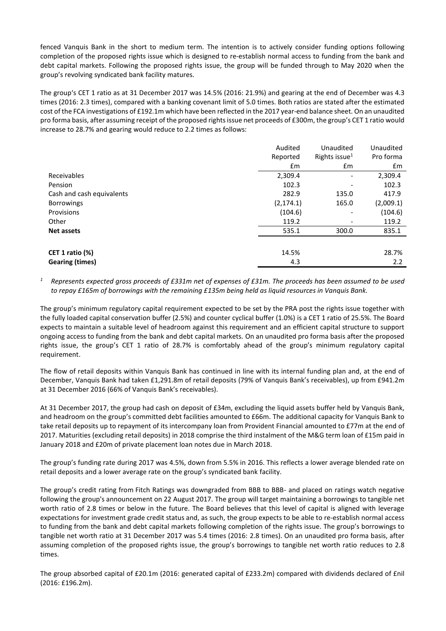fenced Vanquis Bank in the short to medium term. The intention is to actively consider funding options following completion of the proposed rights issue which is designed to re-establish normal access to funding from the bank and debt capital markets. Following the proposed rights issue, the group will be funded through to May 2020 when the group's revolving syndicated bank facility matures.

The group's CET 1 ratio as at 31 December 2017 was 14.5% (2016: 21.9%) and gearing at the end of December was 4.3 times (2016: 2.3 times), compared with a banking covenant limit of 5.0 times. Both ratios are stated after the estimated cost of the FCA investigations of £192.1m which have been reflected in the 2017 year-end balance sheet. On an unaudited pro forma basis, after assuming receipt of the proposed rightsissue net proceeds of £300m, the group's CET 1 ratio would increase to 28.7% and gearing would reduce to 2.2 times as follows:

|                           | Audited    | Unaudited                    | Unaudited |
|---------------------------|------------|------------------------------|-----------|
|                           | Reported   | Rights issue <sup>1</sup>    | Pro forma |
|                           | £m         | £m                           | £m        |
| Receivables               | 2,309.4    |                              | 2,309.4   |
| Pension                   | 102.3      | $\overline{\phantom{a}}$     | 102.3     |
| Cash and cash equivalents | 282.9      | 135.0                        | 417.9     |
| <b>Borrowings</b>         | (2, 174.1) | 165.0                        | (2,009.1) |
| Provisions                | (104.6)    | $\qquad \qquad \blacksquare$ | (104.6)   |
| Other                     | 119.2      | $\overline{\phantom{a}}$     | 119.2     |
| <b>Net assets</b>         | 535.1      | 300.0                        | 835.1     |
|                           |            |                              |           |
| CET 1 ratio $(\%)$        | 14.5%      |                              | 28.7%     |
| <b>Gearing (times)</b>    | 4.3        |                              | 2.2       |

*<sup>1</sup> Represents expected gross proceeds of £331m net of expenses of £31m. The proceeds has been assumed to be used to repay £165m of borrowings with the remaining £135m being held as liquid resources in Vanquis Bank.*

The group's minimum regulatory capital requirement expected to be set by the PRA post the rights issue together with the fully loaded capital conservation buffer (2.5%) and counter cyclical buffer (1.0%) is a CET 1 ratio of 25.5%. The Board expects to maintain a suitable level of headroom against this requirement and an efficient capital structure to support ongoing access to funding from the bank and debt capital markets. On an unaudited pro forma basis after the proposed rights issue, the group's CET 1 ratio of 28.7% is comfortably ahead of the group's minimum regulatory capital requirement.

The flow of retail deposits within Vanquis Bank has continued in line with its internal funding plan and, at the end of December, Vanquis Bank had taken £1,291.8m of retail deposits (79% of Vanquis Bank's receivables), up from £941.2m at 31 December 2016 (66% of Vanquis Bank's receivables).

At 31 December 2017, the group had cash on deposit of £34m, excluding the liquid assets buffer held by Vanquis Bank, and headroom on the group's committed debt facilities amounted to £66m. The additional capacity for Vanquis Bank to take retail deposits up to repayment of its intercompany loan from Provident Financial amounted to £77m at the end of 2017. Maturities (excluding retail deposits) in 2018 comprise the third instalment of the M&G term loan of £15m paid in January 2018 and £20m of private placement loan notes due in March 2018.

The group's funding rate during 2017 was 4.5%, down from 5.5% in 2016. This reflects a lower average blended rate on retail deposits and a lower average rate on the group's syndicated bank facility.

The group's credit rating from Fitch Ratings was downgraded from BBB to BBB- and placed on ratings watch negative following the group's announcement on 22 August 2017. The group will target maintaining a borrowings to tangible net worth ratio of 2.8 times or below in the future. The Board believes that this level of capital is aligned with leverage expectations for investment grade credit status and, as such, the group expects to be able to re-establish normal access to funding from the bank and debt capital markets following completion of the rights issue. The group's borrowings to tangible net worth ratio at 31 December 2017 was 5.4 times (2016: 2.8 times). On an unaudited pro forma basis, after assuming completion of the proposed rights issue, the group's borrowings to tangible net worth ratio reduces to 2.8 times.

The group absorbed capital of £20.1m (2016: generated capital of £233.2m) compared with dividends declared of £nil (2016: £196.2m).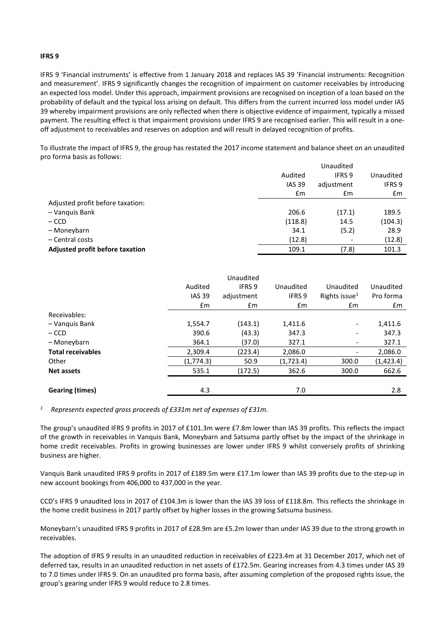#### **IFRS 9**

IFRS 9 'Financial instruments' is effective from 1 January 2018 and replaces IAS 39 'Financial instruments: Recognition and measurement'. IFRS 9 significantly changes the recognition of impairment on customer receivables by introducing an expected loss model. Under this approach, impairment provisions are recognised on inception of a loan based on the probability of default and the typical loss arising on default. This differs from the current incurred loss model under IAS 39 whereby impairment provisions are only reflected when there is objective evidence of impairment, typically a missed payment. The resulting effect is that impairment provisions under IFRS 9 are recognised earlier. This will result in a oneoff adjustment to receivables and reserves on adoption and will result in delayed recognition of profits.

To illustrate the impact of IFRS 9, the group has restated the 2017 income statement and balance sheet on an unaudited pro forma basis as follows:

|                                  | Unaudited      |                          |           |
|----------------------------------|----------------|--------------------------|-----------|
|                                  | Audited        | IFRS <sub>9</sub>        | Unaudited |
|                                  | <b>IAS 39</b>  | adjustment               | IFRS 9    |
|                                  | $\mathbf{f}$ m | £m                       | £m        |
| Adjusted profit before taxation: |                |                          |           |
| - Vanquis Bank                   | 206.6          | (17.1)                   | 189.5     |
| $-$ CCD                          | (118.8)        | 14.5                     | (104.3)   |
| - Moneybarn                      | 34.1           | (5.2)                    | 28.9      |
| - Central costs                  | (12.8)         | $\overline{\phantom{a}}$ | (12.8)    |
| Adjusted profit before taxation  | 109.1          | (7.8)                    | 101.3     |

|                          |               | Unaudited  |           |                          |            |
|--------------------------|---------------|------------|-----------|--------------------------|------------|
|                          | Audited       | IFRS 9     | Unaudited | Unaudited                | Unaudited  |
|                          | <b>IAS 39</b> | adjustment | IFRS 9    | Rights issue $1$         | Pro forma  |
|                          | $\mathsf{fm}$ | Em         | £m        | Em                       | £m         |
| Receivables:             |               |            |           |                          |            |
| - Vanguis Bank           | 1,554.7       | (143.1)    | 1,411.6   | $\overline{\phantom{a}}$ | 1,411.6    |
| $-$ CCD                  | 390.6         | (43.3)     | 347.3     | $\overline{\phantom{a}}$ | 347.3      |
| - Moneybarn              | 364.1         | (37.0)     | 327.1     | $\overline{\phantom{a}}$ | 327.1      |
| <b>Total receivables</b> | 2,309.4       | (223.4)    | 2,086.0   | -                        | 2,086.0    |
| Other                    | (1, 774.3)    | 50.9       | (1,723.4) | 300.0                    | (1, 423.4) |
| <b>Net assets</b>        | 535.1         | (172.5)    | 362.6     | 300.0                    | 662.6      |
|                          |               |            |           |                          |            |
| <b>Gearing (times)</b>   | 4.3           |            | 7.0       |                          | 2.8        |

*<sup>1</sup> Represents expected gross proceeds of £331m net of expenses of £31m.*

The group's unaudited IFRS 9 profits in 2017 of £101.3m were £7.8m lower than IAS 39 profits. This reflects the impact of the growth in receivables in Vanquis Bank, Moneybarn and Satsuma partly offset by the impact of the shrinkage in home credit receivables. Profits in growing businesses are lower under IFRS 9 whilst conversely profits of shrinking business are higher.

Vanquis Bank unaudited IFRS 9 profits in 2017 of £189.5m were £17.1m lower than IAS 39 profits due to the step-up in new account bookings from 406,000 to 437,000 in the year.

CCD's IFRS 9 unaudited loss in 2017 of £104.3m is lower than the IAS 39 loss of £118.8m. This reflects the shrinkage in the home credit business in 2017 partly offset by higher losses in the growing Satsuma business.

Moneybarn's unaudited IFRS 9 profits in 2017 of £28.9m are £5.2m lower than under IAS 39 due to the strong growth in receivables.

The adoption of IFRS 9 results in an unaudited reduction in receivables of £223.4m at 31 December 2017, which net of deferred tax, results in an unaudited reduction in net assets of £172.5m. Gearing increases from 4.3 times under IAS 39 to 7.0 times under IFRS 9. On an unaudited pro forma basis, after assuming completion of the proposed rights issue, the group's gearing under IFRS 9 would reduce to 2.8 times.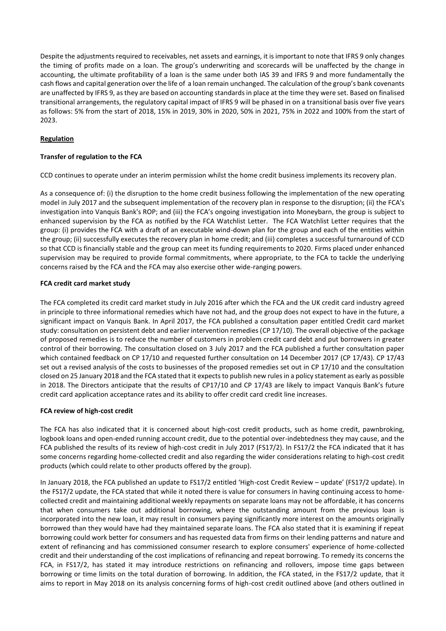Despite the adjustments required to receivables, net assets and earnings, it is important to note that IFRS 9 only changes the timing of profits made on a loan. The group's underwriting and scorecards will be unaffected by the change in accounting, the ultimate profitability of a loan is the same under both IAS 39 and IFRS 9 and more fundamentally the cash flows and capital generation over the life of a loan remain unchanged. The calculation of the group's bank covenants are unaffected by IFRS 9, asthey are based on accounting standardsin place at the time they were set. Based on finalised transitional arrangements, the regulatory capital impact of IFRS 9 will be phased in on a transitional basis over five years as follows: 5% from the start of 2018, 15% in 2019, 30% in 2020, 50% in 2021, 75% in 2022 and 100% from the start of 2023.

## **Regulation**

## **Transfer of regulation to the FCA**

CCD continues to operate under an interim permission whilst the home credit business implements its recovery plan.

As a consequence of: (i) the disruption to the home credit business following the implementation of the new operating model in July 2017 and the subsequent implementation of the recovery plan in response to the disruption; (ii) the FCA's investigation into Vanquis Bank's ROP; and (iii) the FCA's ongoing investigation into Moneybarn, the group is subject to enhanced supervision by the FCA as notified by the FCA Watchlist Letter. The FCA Watchlist Letter requires that the group: (i) provides the FCA with a draft of an executable wind-down plan for the group and each of the entities within the group; (ii) successfully executes the recovery plan in home credit; and (iii) completes a successful turnaround of CCD so that CCD is financially stable and the group can meet its funding requirements to 2020. Firms placed under enhanced supervision may be required to provide formal commitments, where appropriate, to the FCA to tackle the underlying concerns raised by the FCA and the FCA may also exercise other wide-ranging powers.

## **FCA credit card market study**

The FCA completed its credit card market study in July 2016 after which the FCA and the UK credit card industry agreed in principle to three informational remedies which have not had, and the group does not expect to have in the future, a significant impact on Vanquis Bank. In April 2017, the FCA published a consultation paper entitled Credit card market study: consultation on persistent debt and earlier intervention remedies (CP 17/10). The overall objective of the package of proposed remedies is to reduce the number of customers in problem credit card debt and put borrowers in greater control of their borrowing. The consultation closed on 3 July 2017 and the FCA published a further consultation paper which contained feedback on CP 17/10 and requested further consultation on 14 December 2017 (CP 17/43). CP 17/43 set out a revised analysis of the costs to businesses of the proposed remedies set out in CP 17/10 and the consultation closed on 25 January 2018 and the FCA stated that it expects to publish new rules in a policy statement as early as possible in 2018. The Directors anticipate that the results of CP17/10 and CP 17/43 are likely to impact Vanquis Bank's future credit card application acceptance rates and its ability to offer credit card credit line increases.

## **FCA review of high-cost credit**

The FCA has also indicated that it is concerned about high-cost credit products, such as home credit, pawnbroking, logbook loans and open-ended running account credit, due to the potential over-indebtedness they may cause, and the FCA published the results of its review of high-cost credit in July 2017 (FS17/2). In FS17/2 the FCA indicated that it has some concerns regarding home-collected credit and also regarding the wider considerations relating to high-cost credit products (which could relate to other products offered by the group).

In January 2018, the FCA published an update to FS17/2 entitled 'High-cost Credit Review – update' (FS17/2 update). In the FS17/2 update, the FCA stated that while it noted there is value for consumers in having continuing access to homecollected credit and maintaining additional weekly repayments on separate loans may not be affordable, it has concerns that when consumers take out additional borrowing, where the outstanding amount from the previous loan is incorporated into the new loan, it may result in consumers paying significantly more interest on the amounts originally borrowed than they would have had they maintained separate loans. The FCA also stated that it is examining if repeat borrowing could work better for consumers and has requested data from firms on their lending patterns and nature and extent of refinancing and has commissioned consumer research to explore consumers' experience of home-collected credit and their understanding of the cost implications of refinancing and repeat borrowing. To remedy its concerns the FCA, in FS17/2, has stated it may introduce restrictions on refinancing and rollovers, impose time gaps between borrowing or time limits on the total duration of borrowing. In addition, the FCA stated, in the FS17/2 update, that it aims to report in May 2018 on its analysis concerning forms of high-cost credit outlined above (and others outlined in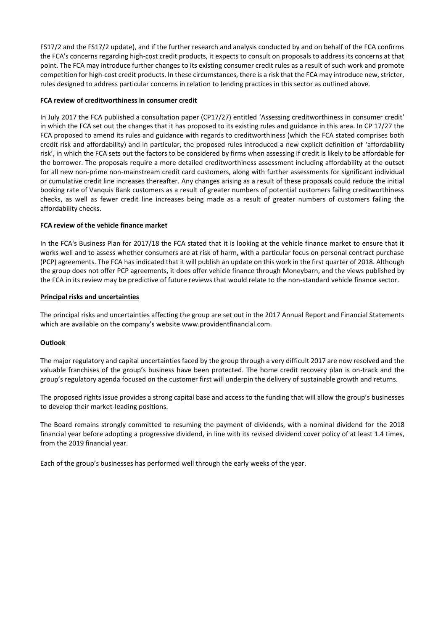FS17/2 and the FS17/2 update), and if the further research and analysis conducted by and on behalf of the FCA confirms the FCA's concerns regarding high-cost credit products, it expects to consult on proposals to address its concerns at that point. The FCA may introduce further changes to its existing consumer credit rules as a result of such work and promote competition for high-cost credit products. In these circumstances, there is a risk that the FCA may introduce new, stricter, rules designed to address particular concerns in relation to lending practices in this sector as outlined above.

#### **FCA review of creditworthiness in consumer credit**

In July 2017 the FCA published a consultation paper (CP17/27) entitled 'Assessing creditworthiness in consumer credit' in which the FCA set out the changes that it has proposed to its existing rules and guidance in this area. In CP 17/27 the FCA proposed to amend its rules and guidance with regards to creditworthiness (which the FCA stated comprises both credit risk and affordability) and in particular, the proposed rules introduced a new explicit definition of 'affordability risk', in which the FCA sets out the factors to be considered by firms when assessing if credit is likely to be affordable for the borrower. The proposals require a more detailed creditworthiness assessment including affordability at the outset for all new non-prime non-mainstream credit card customers, along with further assessments for significant individual or cumulative credit line increases thereafter. Any changes arising as a result of these proposals could reduce the initial booking rate of Vanquis Bank customers as a result of greater numbers of potential customers failing creditworthiness checks, as well as fewer credit line increases being made as a result of greater numbers of customers failing the affordability checks.

#### **FCA review of the vehicle finance market**

In the FCA's Business Plan for 2017/18 the FCA stated that it is looking at the vehicle finance market to ensure that it works well and to assess whether consumers are at risk of harm, with a particular focus on personal contract purchase (PCP) agreements. The FCA has indicated that it will publish an update on this work in the first quarter of 2018. Although the group does not offer PCP agreements, it does offer vehicle finance through Moneybarn, and the views published by the FCA in its review may be predictive of future reviews that would relate to the non-standard vehicle finance sector.

#### **Principal risks and uncertainties**

The principal risks and uncertainties affecting the group are set out in the 2017 Annual Report and Financial Statements which are available on the company's website www.providentfinancial.com.

## **Outlook**

The major regulatory and capital uncertainties faced by the group through a very difficult 2017 are now resolved and the valuable franchises of the group's business have been protected. The home credit recovery plan is on-track and the group's regulatory agenda focused on the customer first will underpin the delivery of sustainable growth and returns.

The proposed rights issue provides a strong capital base and access to the funding that will allow the group's businesses to develop their market-leading positions.

The Board remains strongly committed to resuming the payment of dividends, with a nominal dividend for the 2018 financial year before adopting a progressive dividend, in line with its revised dividend cover policy of at least 1.4 times, from the 2019 financial year.

Each of the group's businesses has performed well through the early weeks of the year.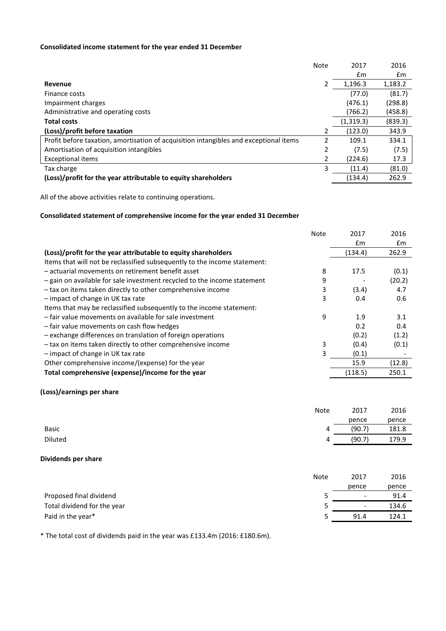## **Consolidated income statement for the year ended 31 December**

|                                                                                       | <b>Note</b> | 2017      | 2016    |
|---------------------------------------------------------------------------------------|-------------|-----------|---------|
|                                                                                       |             | £m        | £m      |
| Revenue                                                                               | 2           | 1,196.3   | 1,183.2 |
| Finance costs                                                                         |             | (77.0)    | (81.7)  |
| Impairment charges                                                                    |             | (476.1)   | (298.8) |
| Administrative and operating costs                                                    |             | (766.2)   | (458.8) |
| <b>Total costs</b>                                                                    |             | (1,319.3) | (839.3) |
| (Loss)/profit before taxation                                                         | 2           | (123.0)   | 343.9   |
| Profit before taxation, amortisation of acquisition intangibles and exceptional items | 2           | 109.1     | 334.1   |
| Amortisation of acquisition intangibles                                               | 2           | (7.5)     | (7.5)   |
| <b>Exceptional items</b>                                                              | 2           | (224.6)   | 17.3    |
| Tax charge                                                                            | 3           | (11.4)    | (81.0)  |
| (Loss)/profit for the year attributable to equity shareholders                        |             | (134.4)   | 262.9   |

All of the above activities relate to continuing operations.

## **Consolidated statement of comprehensive income for the year ended 31 December**

|                                                                           | <b>Note</b> | 2017    | 2016   |
|---------------------------------------------------------------------------|-------------|---------|--------|
|                                                                           |             | £m      | £m     |
| (Loss)/profit for the year attributable to equity shareholders            |             | (134.4) | 262.9  |
| Items that will not be reclassified subsequently to the income statement: |             |         |        |
| - actuarial movements on retirement benefit asset                         | 8           | 17.5    | (0.1)  |
| - gain on available for sale investment recycled to the income statement  | 9           |         | (20.2) |
| - tax on items taken directly to other comprehensive income               | 3           | (3.4)   | 4.7    |
| - impact of change in UK tax rate                                         | 3           | 0.4     | 0.6    |
| Items that may be reclassified subsequently to the income statement:      |             |         |        |
| - fair value movements on available for sale investment                   | 9           | 1.9     | 3.1    |
| - fair value movements on cash flow hedges                                |             | 0.2     | 0.4    |
| - exchange differences on translation of foreign operations               |             | (0.2)   | (1.2)  |
| - tax on items taken directly to other comprehensive income               | 3           | (0.4)   | (0.1)  |
| - impact of change in UK tax rate                                         | 3           | (0.1)   |        |
| Other comprehensive income/(expense) for the year                         |             | 15.9    | (12.8) |
| Total comprehensive (expense)/income for the year                         |             | (118.5) | 250.1  |
|                                                                           |             |         |        |

## **(Loss)/earnings per share**

|              | <b>Note</b> | 2017   | 2016  |
|--------------|-------------|--------|-------|
|              |             | pence  | pence |
| <b>Basic</b> | 4           | (90.7) | 181.8 |
| Diluted      | 4           | (90.7) | 179.9 |

#### **Dividends per share**

|                             | <b>Note</b> | 2017                     | 2016  |
|-----------------------------|-------------|--------------------------|-------|
|                             |             | pence                    | pence |
| Proposed final dividend     |             | $\overline{\phantom{0}}$ | 91.4  |
| Total dividend for the year |             | $\overline{\phantom{a}}$ | 134.6 |
| Paid in the year*           |             | 91.4                     | 124.1 |

\* The total cost of dividends paid in the year was £133.4m (2016: £180.6m).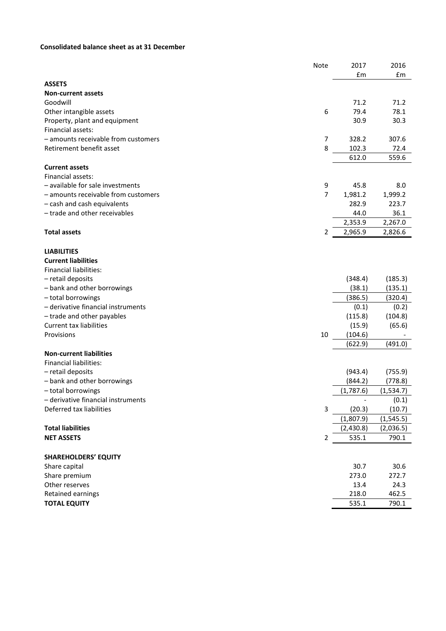## **Consolidated balance sheet as at 31 December**

|                                     | <b>Note</b>    | 2017      | 2016       |
|-------------------------------------|----------------|-----------|------------|
|                                     |                | £m        | £m         |
| <b>ASSETS</b>                       |                |           |            |
| <b>Non-current assets</b>           |                |           |            |
| Goodwill                            |                | 71.2      | 71.2       |
| Other intangible assets             | 6              | 79.4      | 78.1       |
| Property, plant and equipment       |                | 30.9      | 30.3       |
| Financial assets:                   |                |           |            |
| - amounts receivable from customers | 7              | 328.2     | 307.6      |
| Retirement benefit asset            | 8              | 102.3     | 72.4       |
|                                     |                | 612.0     | 559.6      |
| <b>Current assets</b>               |                |           |            |
| Financial assets:                   |                |           |            |
| - available for sale investments    | 9              | 45.8      | 8.0        |
| - amounts receivable from customers | $\overline{7}$ | 1,981.2   | 1,999.2    |
| - cash and cash equivalents         |                | 282.9     | 223.7      |
| - trade and other receivables       |                | 44.0      | 36.1       |
|                                     |                | 2,353.9   | 2,267.0    |
| <b>Total assets</b>                 | 2              | 2,965.9   | 2,826.6    |
|                                     |                |           |            |
| <b>LIABILITIES</b>                  |                |           |            |
| <b>Current liabilities</b>          |                |           |            |
| <b>Financial liabilities:</b>       |                |           |            |
| - retail deposits                   |                | (348.4)   | (185.3)    |
| - bank and other borrowings         |                | (38.1)    | (135.1)    |
| - total borrowings                  |                | (386.5)   | (320.4)    |
| - derivative financial instruments  |                | (0.1)     | (0.2)      |
| - trade and other payables          |                | (115.8)   | (104.8)    |
| <b>Current tax liabilities</b>      |                | (15.9)    | (65.6)     |
| Provisions                          | 10             | (104.6)   |            |
|                                     |                | (622.9)   | (491.0)    |
| <b>Non-current liabilities</b>      |                |           |            |
| <b>Financial liabilities:</b>       |                |           |            |
| - retail deposits                   |                | (943.4)   | (755.9)    |
| - bank and other borrowings         |                | (844.2)   | (778.8)    |
| - total borrowings                  |                | (1,787.6) | (1,534.7)  |
| - derivative financial instruments  |                |           | (0.1)      |
| Deferred tax liabilities            | 3              | (20.3)    | (10.7)     |
|                                     |                | (1,807.9) | (1, 545.5) |
| <b>Total liabilities</b>            |                | (2,430.8) | (2,036.5)  |
| <b>NET ASSETS</b>                   | $\overline{2}$ | 535.1     | 790.1      |
|                                     |                |           |            |
| <b>SHAREHOLDERS' EQUITY</b>         |                |           |            |
| Share capital                       |                | 30.7      | 30.6       |
| Share premium                       |                | 273.0     | 272.7      |
| Other reserves                      |                | 13.4      | 24.3       |
| Retained earnings                   |                | 218.0     | 462.5      |
| <b>TOTAL EQUITY</b>                 |                | 535.1     | 790.1      |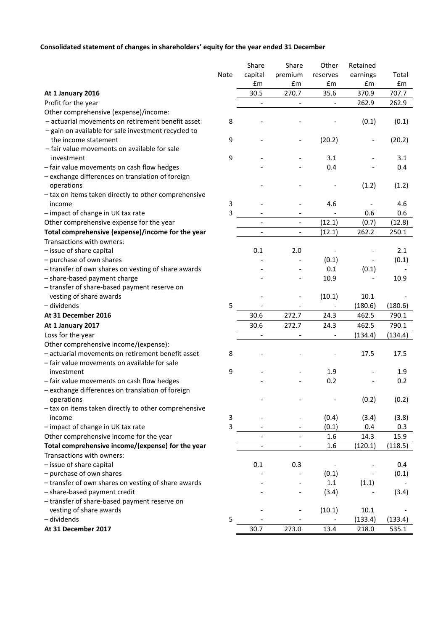## **Consolidated statement of changes in shareholders' equity for the year ended 31 December**

|                                                      |      | Share                    | Share                        | Other                    | Retained |         |
|------------------------------------------------------|------|--------------------------|------------------------------|--------------------------|----------|---------|
|                                                      | Note | capital                  | premium                      | reserves                 | earnings | Total   |
|                                                      |      | £m                       | £m                           | £m                       | £m       | £m      |
| At 1 January 2016                                    |      | 30.5                     | 270.7                        | 35.6                     | 370.9    | 707.7   |
| Profit for the year                                  |      |                          | $\overline{\phantom{a}}$     |                          | 262.9    | 262.9   |
| Other comprehensive (expense)/income:                |      |                          |                              |                          |          |         |
| - actuarial movements on retirement benefit asset    | 8    |                          |                              |                          | (0.1)    | (0.1)   |
| - gain on available for sale investment recycled to  |      |                          |                              |                          |          |         |
| the income statement                                 | 9    |                          |                              | (20.2)                   |          | (20.2)  |
| - fair value movements on available for sale         |      |                          |                              |                          |          |         |
| investment                                           | 9    |                          |                              | 3.1                      |          | 3.1     |
| - fair value movements on cash flow hedges           |      |                          |                              | 0.4                      |          | 0.4     |
| - exchange differences on translation of foreign     |      |                          |                              |                          |          |         |
| operations                                           |      |                          |                              |                          | (1.2)    | (1.2)   |
| - tax on items taken directly to other comprehensive |      |                          |                              |                          |          |         |
| income                                               | 3    |                          |                              | 4.6                      |          | 4.6     |
| - impact of change in UK tax rate                    | 3    |                          |                              |                          | 0.6      | 0.6     |
| Other comprehensive expense for the year             |      |                          | $\blacksquare$               | (12.1)                   | (0.7)    | (12.8)  |
| Total comprehensive (expense)/income for the year    |      |                          | $\overline{\phantom{0}}$     | (12.1)                   | 262.2    | 250.1   |
| Transactions with owners:                            |      |                          |                              |                          |          |         |
| - issue of share capital                             |      | 0.1                      | 2.0                          |                          |          | 2.1     |
| - purchase of own shares                             |      |                          |                              | (0.1)                    |          | (0.1)   |
| - transfer of own shares on vesting of share awards  |      |                          |                              | 0.1                      | (0.1)    |         |
| - share-based payment charge                         |      |                          |                              | 10.9                     |          | 10.9    |
| - transfer of share-based payment reserve on         |      |                          |                              |                          |          |         |
| vesting of share awards                              |      |                          |                              | (10.1)                   | 10.1     |         |
| - dividends                                          |      |                          |                              |                          |          |         |
| At 31 December 2016                                  | 5    |                          | 272.7                        |                          | (180.6)  | (180.6) |
|                                                      |      | 30.6                     |                              | 24.3                     | 462.5    | 790.1   |
| At 1 January 2017                                    |      | 30.6                     | 272.7                        | 24.3                     | 462.5    | 790.1   |
| Loss for the year                                    |      |                          |                              |                          | (134.4)  | (134.4) |
| Other comprehensive income/(expense):                |      |                          |                              |                          |          |         |
| - actuarial movements on retirement benefit asset    | 8    |                          |                              |                          | 17.5     | 17.5    |
| - fair value movements on available for sale         |      |                          |                              |                          |          |         |
| investment                                           | 9    |                          |                              | 1.9                      |          | 1.9     |
| - fair value movements on cash flow hedges           |      |                          |                              | 0.2                      |          | 0.2     |
| - exchange differences on translation of foreign     |      |                          |                              |                          |          |         |
| operations                                           |      |                          |                              |                          | (0.2)    | (0.2)   |
| - tax on items taken directly to other comprehensive |      |                          |                              |                          |          |         |
| income                                               | 3    |                          |                              | (0.4)                    | (3.4)    | (3.8)   |
| - impact of change in UK tax rate                    | 3    |                          |                              | (0.1)                    | 0.4      | 0.3     |
| Other comprehensive income for the year              |      | $\overline{\phantom{a}}$ | $\overline{\phantom{a}}$     | 1.6                      | 14.3     | 15.9    |
| Total comprehensive income/(expense) for the year    |      | $\overline{\phantom{a}}$ | $\overline{\phantom{a}}$     | 1.6                      | (120.1)  | (118.5) |
| Transactions with owners:                            |      |                          |                              |                          |          |         |
| - issue of share capital                             |      | 0.1                      | 0.3                          | $\overline{\phantom{a}}$ |          | 0.4     |
| - purchase of own shares                             |      |                          |                              | (0.1)                    |          | (0.1)   |
| - transfer of own shares on vesting of share awards  |      |                          |                              | $1.1\,$                  | (1.1)    |         |
| - share-based payment credit                         |      |                          | $\qquad \qquad \blacksquare$ | (3.4)                    |          | (3.4)   |
| - transfer of share-based payment reserve on         |      |                          |                              |                          |          |         |
| vesting of share awards                              |      |                          |                              | (10.1)                   | 10.1     |         |
| - dividends                                          | 5    |                          |                              |                          | (133.4)  | (133.4) |
| At 31 December 2017                                  |      | 30.7                     | 273.0                        | 13.4                     | 218.0    | 535.1   |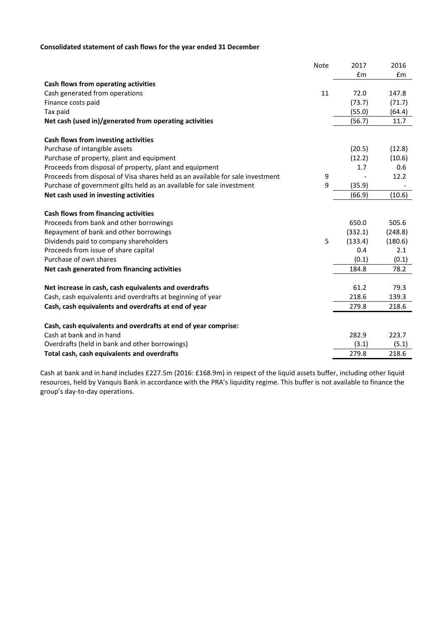## **Consolidated statement of cash flows for the year ended 31 December**

|                                                                                | Note | 2017    | 2016    |
|--------------------------------------------------------------------------------|------|---------|---------|
|                                                                                |      | £m      | Em      |
| Cash flows from operating activities                                           |      |         |         |
| Cash generated from operations                                                 | 11   | 72.0    | 147.8   |
| Finance costs paid                                                             |      | (73.7)  | (71.7)  |
| Tax paid                                                                       |      | (55.0)  | (64.4)  |
| Net cash (used in)/generated from operating activities                         |      | (56.7)  | 11.7    |
| Cash flows from investing activities                                           |      |         |         |
| Purchase of intangible assets                                                  |      | (20.5)  | (12.8)  |
| Purchase of property, plant and equipment                                      |      | (12.2)  | (10.6)  |
| Proceeds from disposal of property, plant and equipment                        |      | 1.7     | 0.6     |
| Proceeds from disposal of Visa shares held as an available for sale investment | 9    |         | 12.2    |
| Purchase of government gilts held as an available for sale investment          | 9    | (35.9)  |         |
| Net cash used in investing activities                                          |      | (66.9)  | (10.6)  |
| Cash flows from financing activities                                           |      |         |         |
| Proceeds from bank and other borrowings                                        |      | 650.0   | 505.6   |
| Repayment of bank and other borrowings                                         |      | (332.1) | (248.8) |
| Dividends paid to company shareholders                                         | 5    | (133.4) | (180.6) |
| Proceeds from issue of share capital                                           |      | 0.4     | 2.1     |
| Purchase of own shares                                                         |      | (0.1)   | (0.1)   |
| Net cash generated from financing activities                                   |      | 184.8   | 78.2    |
| Net increase in cash, cash equivalents and overdrafts                          |      | 61.2    | 79.3    |
| Cash, cash equivalents and overdrafts at beginning of year                     |      | 218.6   | 139.3   |
| Cash, cash equivalents and overdrafts at end of year                           |      | 279.8   | 218.6   |
|                                                                                |      |         |         |
| Cash, cash equivalents and overdrafts at end of year comprise:                 |      |         |         |
| Cash at bank and in hand                                                       |      | 282.9   | 223.7   |
| Overdrafts (held in bank and other borrowings)                                 |      | (3.1)   | (5.1)   |
| Total cash, cash equivalents and overdrafts                                    |      | 279.8   | 218.6   |

Cash at bank and in hand includes £227.5m (2016: £168.9m) in respect of the liquid assets buffer, including other liquid resources, held by Vanquis Bank in accordance with the PRA's liquidity regime. This buffer is not available to finance the group's day-to-day operations.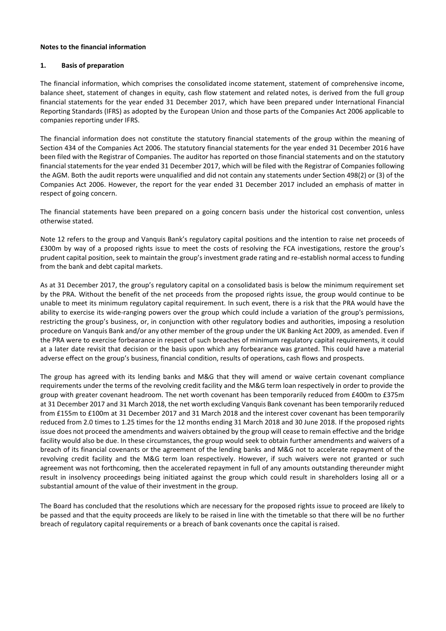#### **Notes to the financial information**

#### **1. Basis of preparation**

The financial information, which comprises the consolidated income statement, statement of comprehensive income, balance sheet, statement of changes in equity, cash flow statement and related notes, is derived from the full group financial statements for the year ended 31 December 2017, which have been prepared under International Financial Reporting Standards (IFRS) as adopted by the European Union and those parts of the Companies Act 2006 applicable to companies reporting under IFRS.

The financial information does not constitute the statutory financial statements of the group within the meaning of Section 434 of the Companies Act 2006. The statutory financial statements for the year ended 31 December 2016 have been filed with the Registrar of Companies. The auditor has reported on those financial statements and on the statutory financial statements for the year ended 31 December 2017, which will be filed with the Registrar of Companies following the AGM. Both the audit reports were unqualified and did not contain any statements under Section 498(2) or (3) of the Companies Act 2006. However, the report for the year ended 31 December 2017 included an emphasis of matter in respect of going concern.

The financial statements have been prepared on a going concern basis under the historical cost convention, unless otherwise stated.

Note 12 refers to the group and Vanquis Bank's regulatory capital positions and the intention to raise net proceeds of £300m by way of a proposed rights issue to meet the costs of resolving the FCA investigations, restore the group's prudent capital position, seek to maintain the group's investment grade rating and re-establish normal access to funding from the bank and debt capital markets.

As at 31 December 2017, the group's regulatory capital on a consolidated basis is below the minimum requirement set by the PRA. Without the benefit of the net proceeds from the proposed rights issue, the group would continue to be unable to meet its minimum regulatory capital requirement. In such event, there is a risk that the PRA would have the ability to exercise its wide-ranging powers over the group which could include a variation of the group's permissions, restricting the group's business, or, in conjunction with other regulatory bodies and authorities, imposing a resolution procedure on Vanquis Bank and/or any other member of the group under the UK Banking Act 2009, as amended. Even if the PRA were to exercise forbearance in respect of such breaches of minimum regulatory capital requirements, it could at a later date revisit that decision or the basis upon which any forbearance was granted. This could have a material adverse effect on the group's business, financial condition, results of operations, cash flows and prospects.

The group has agreed with its lending banks and M&G that they will amend or waive certain covenant compliance requirements under the terms of the revolving credit facility and the M&G term loan respectively in order to provide the group with greater covenant headroom. The net worth covenant has been temporarily reduced from £400m to £375m at 31 December 2017 and 31 March 2018, the net worth excluding Vanquis Bank covenant has been temporarily reduced from £155m to £100m at 31 December 2017 and 31 March 2018 and the interest cover covenant has been temporarily reduced from 2.0 times to 1.25 times for the 12 months ending 31 March 2018 and 30 June 2018. If the proposed rights issue does not proceed the amendments and waivers obtained by the group will cease to remain effective and the bridge facility would also be due. In these circumstances, the group would seek to obtain further amendments and waivers of a breach of its financial covenants or the agreement of the lending banks and M&G not to accelerate repayment of the revolving credit facility and the M&G term loan respectively. However, if such waivers were not granted or such agreement was not forthcoming, then the accelerated repayment in full of any amounts outstanding thereunder might result in insolvency proceedings being initiated against the group which could result in shareholders losing all or a substantial amount of the value of their investment in the group.

The Board has concluded that the resolutions which are necessary for the proposed rights issue to proceed are likely to be passed and that the equity proceeds are likely to be raised in line with the timetable so that there will be no further breach of regulatory capital requirements or a breach of bank covenants once the capital is raised.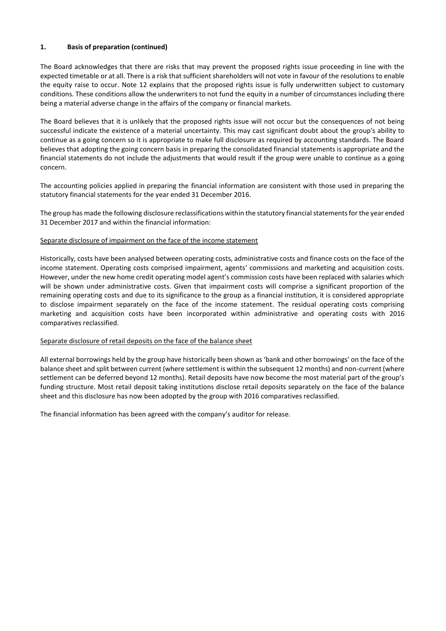## **1. Basis of preparation (continued)**

The Board acknowledges that there are risks that may prevent the proposed rights issue proceeding in line with the expected timetable or at all. There is a risk that sufficient shareholders will not vote in favour of the resolutions to enable the equity raise to occur. Note 12 explains that the proposed rights issue is fully underwritten subject to customary conditions. These conditions allow the underwriters to not fund the equity in a number of circumstances including there being a material adverse change in the affairs of the company or financial markets.

The Board believes that it is unlikely that the proposed rights issue will not occur but the consequences of not being successful indicate the existence of a material uncertainty. This may cast significant doubt about the group's ability to continue as a going concern so it is appropriate to make full disclosure as required by accounting standards. The Board believes that adopting the going concern basis in preparing the consolidated financial statements is appropriate and the financial statements do not include the adjustments that would result if the group were unable to continue as a going concern.

The accounting policies applied in preparing the financial information are consistent with those used in preparing the statutory financial statements for the year ended 31 December 2016.

The group has made the following disclosure reclassifications within the statutory financial statements for the year ended 31 December 2017 and within the financial information:

## Separate disclosure of impairment on the face of the income statement

Historically, costs have been analysed between operating costs, administrative costs and finance costs on the face of the income statement. Operating costs comprised impairment, agents' commissions and marketing and acquisition costs. However, under the new home credit operating model agent's commission costs have been replaced with salaries which will be shown under administrative costs. Given that impairment costs will comprise a significant proportion of the remaining operating costs and due to its significance to the group as a financial institution, it is considered appropriate to disclose impairment separately on the face of the income statement. The residual operating costs comprising marketing and acquisition costs have been incorporated within administrative and operating costs with 2016 comparatives reclassified.

## Separate disclosure of retail deposits on the face of the balance sheet

All external borrowings held by the group have historically been shown as 'bank and other borrowings' on the face of the balance sheet and split between current (where settlement is within the subsequent 12 months) and non-current (where settlement can be deferred beyond 12 months). Retail deposits have now become the most material part of the group's funding structure. Most retail deposit taking institutions disclose retail deposits separately on the face of the balance sheet and this disclosure has now been adopted by the group with 2016 comparatives reclassified.

The financial information has been agreed with the company's auditor for release.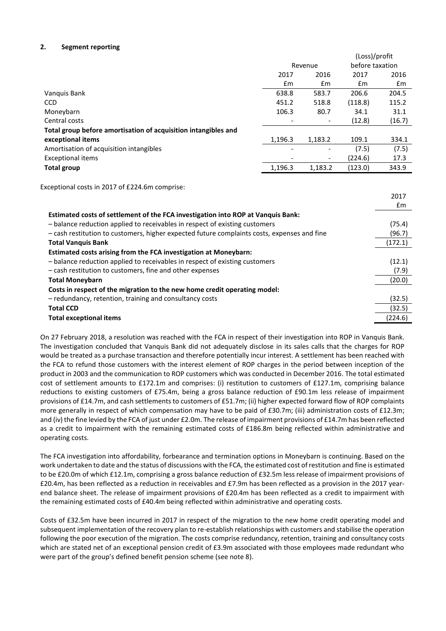## **2. Segment reporting**

|                                                                |                          |               | (Loss)/profit |                 |  |
|----------------------------------------------------------------|--------------------------|---------------|---------------|-----------------|--|
|                                                                | Revenue                  |               |               | before taxation |  |
|                                                                | 2016<br>2017             |               | 2017          | 2016            |  |
|                                                                | $\mathsf{fm}$            | $\mathsf{fm}$ | $\mathsf{fm}$ | £m              |  |
| Vanquis Bank                                                   | 638.8                    | 583.7         | 206.6         | 204.5           |  |
| <b>CCD</b>                                                     | 451.2                    | 518.8         | (118.8)       | 115.2           |  |
| Moneybarn                                                      | 106.3                    | 80.7          | 34.1          | 31.1            |  |
| Central costs                                                  | $\overline{\phantom{a}}$ |               | (12.8)        | (16.7)          |  |
| Total group before amortisation of acquisition intangibles and |                          |               |               |                 |  |
| exceptional items                                              | 1,196.3                  | 1,183.2       | 109.1         | 334.1           |  |
| Amortisation of acquisition intangibles                        | $\overline{\phantom{0}}$ | -             | (7.5)         | (7.5)           |  |
| <b>Exceptional items</b>                                       |                          | -             | (224.6)       | 17.3            |  |
| <b>Total group</b>                                             | 1,196.3                  | 1,183.2       | (123.0)       | 343.9           |  |

Exceptional costs in 2017 of £224.6m comprise:

|                                                                                             | 2017    |
|---------------------------------------------------------------------------------------------|---------|
|                                                                                             | £m      |
| Estimated costs of settlement of the FCA investigation into ROP at Vanquis Bank:            |         |
| - balance reduction applied to receivables in respect of existing customers                 | (75.4)  |
| - cash restitution to customers, higher expected future complaints costs, expenses and fine | (96.7)  |
| <b>Total Vanquis Bank</b>                                                                   | (172.1) |
| Estimated costs arising from the FCA investigation at Moneybarn:                            |         |
| - balance reduction applied to receivables in respect of existing customers                 | (12.1)  |
| - cash restitution to customers, fine and other expenses                                    | (7.9)   |
| <b>Total Moneybarn</b>                                                                      | (20.0)  |
| Costs in respect of the migration to the new home credit operating model:                   |         |
| - redundancy, retention, training and consultancy costs                                     | (32.5)  |
| <b>Total CCD</b>                                                                            | (32.5)  |
| <b>Total exceptional items</b>                                                              | (224.6) |

On 27 February 2018, a resolution was reached with the FCA in respect of their investigation into ROP in Vanquis Bank. The investigation concluded that Vanquis Bank did not adequately disclose in its sales calls that the charges for ROP would be treated as a purchase transaction and therefore potentially incur interest. A settlement has been reached with the FCA to refund those customers with the interest element of ROP charges in the period between inception of the product in 2003 and the communication to ROP customers which was conducted in December 2016. The total estimated cost of settlement amounts to £172.1m and comprises: (i) restitution to customers of £127.1m, comprising balance reductions to existing customers of £75.4m, being a gross balance reduction of £90.1m less release of impairment provisions of £14.7m, and cash settlements to customers of £51.7m; (ii) higher expected forward flow of ROP complaints more generally in respect of which compensation may have to be paid of £30.7m; (iii) administration costs of £12.3m; and (iv) the fine levied by the FCA of just under £2.0m. The release of impairment provisions of £14.7m has been reflected as a credit to impairment with the remaining estimated costs of £186.8m being reflected within administrative and operating costs.

The FCA investigation into affordability, forbearance and termination options in Moneybarn is continuing. Based on the work undertaken to date and the status of discussions with the FCA, the estimated cost of restitution and fine is estimated to be £20.0m of which £12.1m, comprising a gross balance reduction of £32.5m less release of impairment provisions of £20.4m, has been reflected as a reduction in receivables and £7.9m has been reflected as a provision in the 2017 yearend balance sheet. The release of impairment provisions of £20.4m has been reflected as a credit to impairment with the remaining estimated costs of £40.4m being reflected within administrative and operating costs.

Costs of £32.5m have been incurred in 2017 in respect of the migration to the new home credit operating model and subsequent implementation of the recovery plan to re-establish relationships with customers and stabilise the operation following the poor execution of the migration. The costs comprise redundancy, retention, training and consultancy costs which are stated net of an exceptional pension credit of £3.9m associated with those employees made redundant who were part of the group's defined benefit pension scheme (see note 8).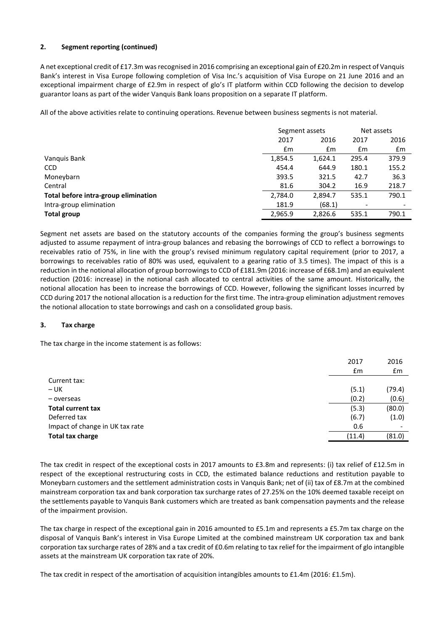## **2. Segment reporting (continued)**

A net exceptional credit of £17.3m was recognised in 2016 comprising an exceptional gain of £20.2m in respect of Vanquis Bank's interest in Visa Europe following completion of Visa Inc.'s acquisition of Visa Europe on 21 June 2016 and an exceptional impairment charge of £2.9m in respect of glo's IT platform within CCD following the decision to develop guarantor loans as part of the wider Vanquis Bank loans proposition on a separate IT platform.

All of the above activities relate to continuing operations. Revenue between business segments is not material.

|                                      | Segment assets |         | Net assets |       |
|--------------------------------------|----------------|---------|------------|-------|
|                                      | 2017<br>2016   |         | 2017       | 2016  |
|                                      | £m             | £m      | £m         | £m    |
| Vanguis Bank                         | 1,854.5        | 1,624.1 | 295.4      | 379.9 |
| <b>CCD</b>                           | 454.4          | 644.9   | 180.1      | 155.2 |
| Moneybarn                            | 393.5          | 321.5   | 42.7       | 36.3  |
| Central                              | 81.6           | 304.2   | 16.9       | 218.7 |
| Total before intra-group elimination | 2,784.0        | 2.894.7 | 535.1      | 790.1 |
| Intra-group elimination              | 181.9          | (68.1)  |            |       |
| <b>Total group</b>                   | 2,965.9        | 2.826.6 | 535.1      | 790.1 |

Segment net assets are based on the statutory accounts of the companies forming the group's business segments adjusted to assume repayment of intra-group balances and rebasing the borrowings of CCD to reflect a borrowings to receivables ratio of 75%, in line with the group's revised minimum regulatory capital requirement (prior to 2017, a borrowings to receivables ratio of 80% was used, equivalent to a gearing ratio of 3.5 times). The impact of this is a reduction in the notional allocation of group borrowings to CCD of £181.9m (2016: increase of £68.1m) and an equivalent reduction (2016: increase) in the notional cash allocated to central activities of the same amount. Historically, the notional allocation has been to increase the borrowings of CCD. However, following the significant losses incurred by CCD during 2017 the notional allocation is a reduction for the first time. The intra-group elimination adjustment removes the notional allocation to state borrowings and cash on a consolidated group basis.

## **3. Tax charge**

The tax charge in the income statement is as follows:

|                                 | 2017   | 2016                     |
|---------------------------------|--------|--------------------------|
|                                 | £m     | £m                       |
| Current tax:                    |        |                          |
| $- UK$                          | (5.1)  | (79.4)                   |
| - overseas                      | (0.2)  | (0.6)                    |
| <b>Total current tax</b>        | (5.3)  | (80.0)                   |
| Deferred tax                    | (6.7)  | (1.0)                    |
| Impact of change in UK tax rate | 0.6    | $\overline{\phantom{a}}$ |
| <b>Total tax charge</b>         | (11.4) | (81.0)                   |
|                                 |        |                          |

The tax credit in respect of the exceptional costs in 2017 amounts to £3.8m and represents: (i) tax relief of £12.5m in respect of the exceptional restructuring costs in CCD, the estimated balance reductions and restitution payable to Moneybarn customers and the settlement administration costs in Vanquis Bank; net of (ii) tax of £8.7m at the combined mainstream corporation tax and bank corporation tax surcharge rates of 27.25% on the 10% deemed taxable receipt on the settlements payable to Vanquis Bank customers which are treated as bank compensation payments and the release of the impairment provision.

The tax charge in respect of the exceptional gain in 2016 amounted to £5.1m and represents a £5.7m tax charge on the disposal of Vanquis Bank's interest in Visa Europe Limited at the combined mainstream UK corporation tax and bank corporation tax surcharge rates of 28% and a tax credit of £0.6m relating to tax relief for the impairment of glo intangible assets at the mainstream UK corporation tax rate of 20%.

The tax credit in respect of the amortisation of acquisition intangibles amounts to £1.4m (2016: £1.5m).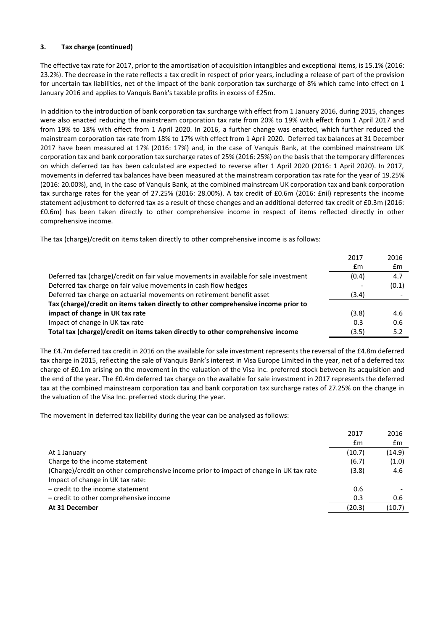## **3. Tax charge (continued)**

The effective tax rate for 2017, prior to the amortisation of acquisition intangibles and exceptional items, is 15.1% (2016: 23.2%). The decrease in the rate reflects a tax credit in respect of prior years, including a release of part of the provision for uncertain tax liabilities, net of the impact of the bank corporation tax surcharge of 8% which came into effect on 1 January 2016 and applies to Vanquis Bank's taxable profits in excess of £25m.

In addition to the introduction of bank corporation tax surcharge with effect from 1 January 2016, during 2015, changes were also enacted reducing the mainstream corporation tax rate from 20% to 19% with effect from 1 April 2017 and from 19% to 18% with effect from 1 April 2020. In 2016, a further change was enacted, which further reduced the mainstream corporation tax rate from 18% to 17% with effect from 1 April 2020. Deferred tax balances at 31 December 2017 have been measured at 17% (2016: 17%) and, in the case of Vanquis Bank, at the combined mainstream UK corporation tax and bank corporation tax surcharge rates of 25% (2016: 25%) on the basis that the temporary differences on which deferred tax has been calculated are expected to reverse after 1 April 2020 (2016: 1 April 2020). In 2017, movements in deferred tax balances have been measured at the mainstream corporation tax rate for the year of 19.25% (2016: 20.00%), and, in the case of Vanquis Bank, at the combined mainstream UK corporation tax and bank corporation tax surcharge rates for the year of 27.25% (2016: 28.00%). A tax credit of £0.6m (2016: £nil) represents the income statement adjustment to deferred tax as a result of these changes and an additional deferred tax credit of £0.3m (2016: £0.6m) has been taken directly to other comprehensive income in respect of items reflected directly in other comprehensive income.

The tax (charge)/credit on items taken directly to other comprehensive income is as follows:

|                                                                                       | 2017  | 2016  |
|---------------------------------------------------------------------------------------|-------|-------|
|                                                                                       | Em    | £m    |
| Deferred tax (charge)/credit on fair value movements in available for sale investment | (0.4) | 4.7   |
| Deferred tax charge on fair value movements in cash flow hedges                       |       | (0.1) |
| Deferred tax charge on actuarial movements on retirement benefit asset                | (3.4) |       |
| Tax (charge)/credit on items taken directly to other comprehensive income prior to    |       |       |
| impact of change in UK tax rate                                                       | (3.8) | 4.6   |
| Impact of change in UK tax rate                                                       | 0.3   | 0.6   |
| Total tax (charge)/credit on items taken directly to other comprehensive income       | (3.5) | 5.2   |

The £4.7m deferred tax credit in 2016 on the available for sale investment represents the reversal of the £4.8m deferred tax charge in 2015, reflecting the sale of Vanquis Bank's interest in Visa Europe Limited in the year, net of a deferred tax charge of £0.1m arising on the movement in the valuation of the Visa Inc. preferred stock between its acquisition and the end of the year. The £0.4m deferred tax charge on the available for sale investment in 2017 represents the deferred tax at the combined mainstream corporation tax and bank corporation tax surcharge rates of 27.25% on the change in the valuation of the Visa Inc. preferred stock during the year.

The movement in deferred tax liability during the year can be analysed as follows:

|                                                                                        | 2017   | 2016   |
|----------------------------------------------------------------------------------------|--------|--------|
|                                                                                        | £m     | £m     |
| At 1 January                                                                           | (10.7) | (14.9) |
| Charge to the income statement                                                         | (6.7)  | (1.0)  |
| (Charge)/credit on other comprehensive income prior to impact of change in UK tax rate | (3.8)  | 4.6    |
| Impact of change in UK tax rate:                                                       |        |        |
| $-$ credit to the income statement                                                     | 0.6    |        |
| - credit to other comprehensive income                                                 | 0.3    | 0.6    |
| At 31 December                                                                         | (20.3) | (10.7) |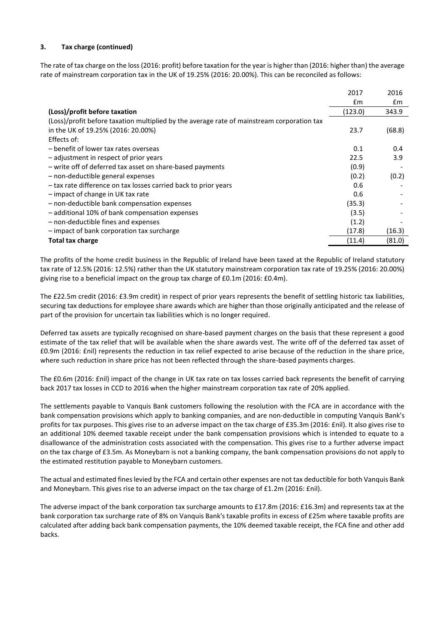## **3. Tax charge (continued)**

The rate of tax charge on the loss(2016: profit) before taxation for the year is higher than (2016: higher than) the average rate of mainstream corporation tax in the UK of 19.25% (2016: 20.00%). This can be reconciled as follows:

|                                                                                            | 2017          | 2016          |
|--------------------------------------------------------------------------------------------|---------------|---------------|
|                                                                                            | $\mathsf{fm}$ | $\mathsf{fm}$ |
| (Loss)/profit before taxation                                                              | (123.0)       | 343.9         |
| (Loss)/profit before taxation multiplied by the average rate of mainstream corporation tax |               |               |
| in the UK of 19.25% (2016: 20.00%)                                                         | 23.7          | (68.8)        |
| Effects of:                                                                                |               |               |
| - benefit of lower tax rates overseas                                                      | 0.1           | 0.4           |
| - adjustment in respect of prior years                                                     | 22.5          | 3.9           |
| - write off of deferred tax asset on share-based payments                                  | (0.9)         |               |
| - non-deductible general expenses                                                          | (0.2)         | (0.2)         |
| - tax rate difference on tax losses carried back to prior years                            | 0.6           |               |
| - impact of change in UK tax rate                                                          | 0.6           |               |
| - non-deductible bank compensation expenses                                                | (35.3)        |               |
| - additional 10% of bank compensation expenses                                             | (3.5)         |               |
| - non-deductible fines and expenses                                                        | (1.2)         |               |
| - impact of bank corporation tax surcharge                                                 | (17.8)        | (16.3)        |
| <b>Total tax charge</b>                                                                    | (11.4)        | (81.0)        |

The profits of the home credit business in the Republic of Ireland have been taxed at the Republic of Ireland statutory tax rate of 12.5% (2016: 12.5%) rather than the UK statutory mainstream corporation tax rate of 19.25% (2016: 20.00%) giving rise to a beneficial impact on the group tax charge of £0.1m (2016: £0.4m).

The £22.5m credit (2016: £3.9m credit) in respect of prior years represents the benefit of settling historic tax liabilities, securing tax deductions for employee share awards which are higher than those originally anticipated and the release of part of the provision for uncertain tax liabilities which is no longer required.

Deferred tax assets are typically recognised on share-based payment charges on the basis that these represent a good estimate of the tax relief that will be available when the share awards vest. The write off of the deferred tax asset of £0.9m (2016: £nil) represents the reduction in tax relief expected to arise because of the reduction in the share price, where such reduction in share price has not been reflected through the share-based payments charges.

The £0.6m (2016: £nil) impact of the change in UK tax rate on tax losses carried back represents the benefit of carrying back 2017 tax losses in CCD to 2016 when the higher mainstream corporation tax rate of 20% applied.

The settlements payable to Vanquis Bank customers following the resolution with the FCA are in accordance with the bank compensation provisions which apply to banking companies, and are non-deductible in computing Vanquis Bank's profits for tax purposes. This gives rise to an adverse impact on the tax charge of £35.3m (2016: £nil). It also gives rise to an additional 10% deemed taxable receipt under the bank compensation provisions which is intended to equate to a disallowance of the administration costs associated with the compensation. This gives rise to a further adverse impact on the tax charge of £3.5m. As Moneybarn is not a banking company, the bank compensation provisions do not apply to the estimated restitution payable to Moneybarn customers.

The actual and estimated fines levied by the FCA and certain other expenses are not tax deductible for both Vanquis Bank and Moneybarn. This gives rise to an adverse impact on the tax charge of £1.2m (2016: £nil).

The adverse impact of the bank corporation tax surcharge amounts to £17.8m (2016: £16.3m) and represents tax at the bank corporation tax surcharge rate of 8% on Vanquis Bank's taxable profits in excess of £25m where taxable profits are calculated after adding back bank compensation payments, the 10% deemed taxable receipt, the FCA fine and other add backs.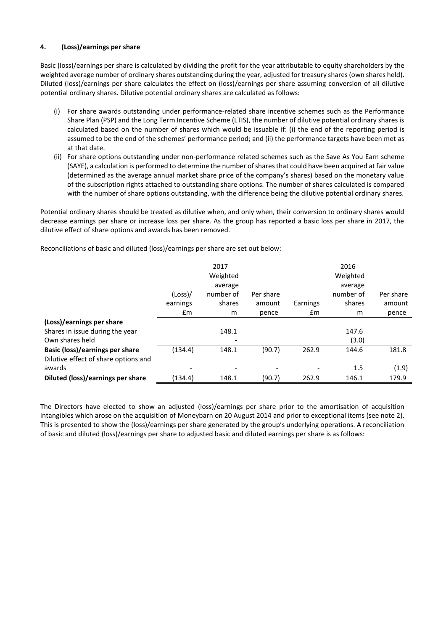## **4. (Loss)/earnings per share**

Basic (loss)/earnings per share is calculated by dividing the profit for the year attributable to equity shareholders by the weighted average number of ordinary shares outstanding during the year, adjusted for treasury shares (own shares held). Diluted (loss)/earnings per share calculates the effect on (loss)/earnings per share assuming conversion of all dilutive potential ordinary shares. Dilutive potential ordinary shares are calculated as follows:

- (i) For share awards outstanding under performance-related share incentive schemes such as the Performance Share Plan (PSP) and the Long Term Incentive Scheme (LTIS), the number of dilutive potential ordinary shares is calculated based on the number of shares which would be issuable if: (i) the end of the reporting period is assumed to be the end of the schemes' performance period; and (ii) the performance targets have been met as at that date.
- (ii) For share options outstanding under non-performance related schemes such as the Save As You Earn scheme (SAYE), a calculation is performed to determine the number of shares that could have been acquired at fair value (determined as the average annual market share price of the company's shares) based on the monetary value of the subscription rights attached to outstanding share options. The number of shares calculated is compared with the number of share options outstanding, with the difference being the dilutive potential ordinary shares.

Potential ordinary shares should be treated as dilutive when, and only when, their conversion to ordinary shares would decrease earnings per share or increase loss per share. As the group has reported a basic loss per share in 2017, the dilutive effect of share options and awards has been removed.

Reconciliations of basic and diluted (loss)/earnings per share are set out below:

|                                        |               | 2017                     |                          |               | 2016      |           |
|----------------------------------------|---------------|--------------------------|--------------------------|---------------|-----------|-----------|
|                                        |               | Weighted                 |                          |               | Weighted  |           |
|                                        |               | average                  |                          |               | average   |           |
|                                        | (Loss)        | number of                | Per share                |               | number of | Per share |
|                                        | earnings      | shares                   | amount                   | Earnings      | shares    | amount    |
|                                        | $\mathsf{fm}$ | m                        | pence                    | $\mathsf{fm}$ | m         | pence     |
| (Loss)/earnings per share              |               |                          |                          |               |           |           |
| Shares in issue during the year        |               | 148.1                    |                          |               | 147.6     |           |
| Own shares held                        |               | $\overline{\phantom{0}}$ |                          |               | (3.0)     |           |
| <b>Basic (loss)/earnings per share</b> | (134.4)       | 148.1                    | (90.7)                   | 262.9         | 144.6     | 181.8     |
| Dilutive effect of share options and   |               |                          |                          |               |           |           |
| awards                                 |               | ٠                        | $\overline{\phantom{0}}$ |               | 1.5       | (1.9)     |
| Diluted (loss)/earnings per share      | (134.4)       | 148.1                    | (90.7)                   | 262.9         | 146.1     | 179.9     |

The Directors have elected to show an adjusted (loss)/earnings per share prior to the amortisation of acquisition intangibles which arose on the acquisition of Moneybarn on 20 August 2014 and prior to exceptional items (see note 2). This is presented to show the (loss)/earnings per share generated by the group's underlying operations. A reconciliation of basic and diluted (loss)/earnings per share to adjusted basic and diluted earnings per share is as follows: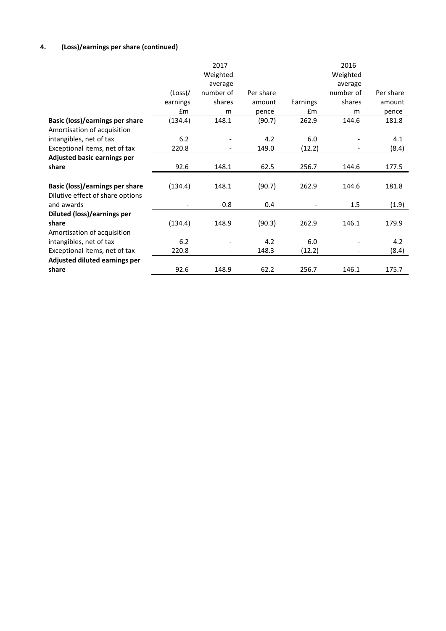# **4. (Loss)/earnings per share (continued)**

|                                        |          | 2017      |           |          | 2016      |           |
|----------------------------------------|----------|-----------|-----------|----------|-----------|-----------|
|                                        |          | Weighted  |           |          | Weighted  |           |
|                                        |          | average   |           |          | average   |           |
|                                        | (Loss)   | number of | Per share |          | number of | Per share |
|                                        | earnings | shares    | amount    | Earnings | shares    | amount    |
|                                        | £m       | m         | pence     | £m       | m         | pence     |
| Basic (loss)/earnings per share        | (134.4)  | 148.1     | (90.7)    | 262.9    | 144.6     | 181.8     |
| Amortisation of acquisition            |          |           |           |          |           |           |
| intangibles, net of tax                | 6.2      |           | 4.2       | 6.0      |           | 4.1       |
| Exceptional items, net of tax          | 220.8    |           | 149.0     | (12.2)   |           | (8.4)     |
| <b>Adjusted basic earnings per</b>     |          |           |           |          |           |           |
| share                                  | 92.6     | 148.1     | 62.5      | 256.7    | 144.6     | 177.5     |
|                                        |          |           |           |          |           |           |
| <b>Basic (loss)/earnings per share</b> | (134.4)  | 148.1     | (90.7)    | 262.9    | 144.6     | 181.8     |
| Dilutive effect of share options       |          |           |           |          |           |           |
| and awards                             |          | 0.8       | 0.4       |          | 1.5       | (1.9)     |
| Diluted (loss)/earnings per            |          |           |           |          |           |           |
| share                                  | (134.4)  | 148.9     | (90.3)    | 262.9    | 146.1     | 179.9     |
| Amortisation of acquisition            |          |           |           |          |           |           |
| intangibles, net of tax                | 6.2      |           | 4.2       | 6.0      |           | 4.2       |
| Exceptional items, net of tax          | 220.8    |           | 148.3     | (12.2)   |           | (8.4)     |
| Adjusted diluted earnings per          |          |           |           |          |           |           |
| share                                  | 92.6     | 148.9     | 62.2      | 256.7    | 146.1     | 175.7     |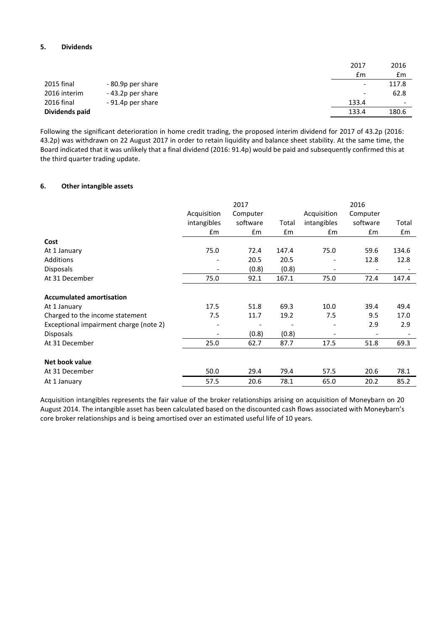## **5. Dividends**

|                |                   | 2017                     | 2016  |
|----------------|-------------------|--------------------------|-------|
|                |                   | £m                       | £m    |
| 2015 final     | - 80.9p per share | $\overline{\phantom{a}}$ | 117.8 |
| 2016 interim   | -43.2p per share  | $\overline{\phantom{a}}$ | 62.8  |
| 2016 final     | -91.4p per share  | 133.4                    | -     |
| Dividends paid |                   | 133.4                    | 180.6 |

Following the significant deterioration in home credit trading, the proposed interim dividend for 2017 of 43.2p (2016: 43.2p) was withdrawn on 22 August 2017 in order to retain liquidity and balance sheet stability. At the same time, the Board indicated that it was unlikely that a final dividend (2016: 91.4p) would be paid and subsequently confirmed this at the third quarter trading update.

## **6. Other intangible assets**

|                                        |                          | 2017     |       |                              | 2016     |       |
|----------------------------------------|--------------------------|----------|-------|------------------------------|----------|-------|
|                                        | Acquisition              | Computer |       | Acquisition                  | Computer |       |
|                                        | intangibles              | software | Total | intangibles                  | software | Total |
|                                        | £m                       | £m       | £m    | £m                           | £m       | £m    |
| Cost                                   |                          |          |       |                              |          |       |
| At 1 January                           | 75.0                     | 72.4     | 147.4 | 75.0                         | 59.6     | 134.6 |
| Additions                              |                          | 20.5     | 20.5  | $\qquad \qquad \blacksquare$ | 12.8     | 12.8  |
| <b>Disposals</b>                       | $\overline{\phantom{a}}$ | (0.8)    | (0.8) | $\overline{\phantom{a}}$     |          |       |
| At 31 December                         | 75.0                     | 92.1     | 167.1 | 75.0                         | 72.4     | 147.4 |
|                                        |                          |          |       |                              |          |       |
| <b>Accumulated amortisation</b>        |                          |          |       |                              |          |       |
| At 1 January                           | 17.5                     | 51.8     | 69.3  | 10.0                         | 39.4     | 49.4  |
| Charged to the income statement        | 7.5                      | 11.7     | 19.2  | 7.5                          | 9.5      | 17.0  |
| Exceptional impairment charge (note 2) |                          |          |       |                              | 2.9      | 2.9   |
| <b>Disposals</b>                       | $\overline{\phantom{a}}$ | (0.8)    | (0.8) | $\overline{\phantom{a}}$     |          |       |
| At 31 December                         | 25.0                     | 62.7     | 87.7  | 17.5                         | 51.8     | 69.3  |
|                                        |                          |          |       |                              |          |       |
| Net book value                         |                          |          |       |                              |          |       |
| At 31 December                         | 50.0                     | 29.4     | 79.4  | 57.5                         | 20.6     | 78.1  |
| At 1 January                           | 57.5                     | 20.6     | 78.1  | 65.0                         | 20.2     | 85.2  |

Acquisition intangibles represents the fair value of the broker relationships arising on acquisition of Moneybarn on 20 August 2014. The intangible asset has been calculated based on the discounted cash flows associated with Moneybarn's core broker relationships and is being amortised over an estimated useful life of 10 years.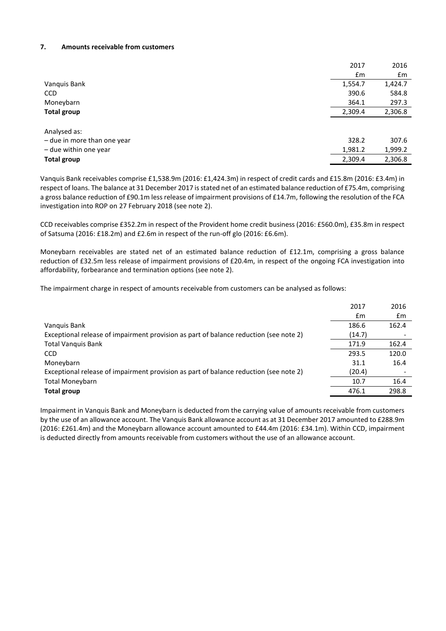#### **7. Amounts receivable from customers**

|                             | 2017    | 2016    |
|-----------------------------|---------|---------|
|                             | £m      | £m      |
| Vanquis Bank                | 1,554.7 | 1,424.7 |
| <b>CCD</b>                  | 390.6   | 584.8   |
| Moneybarn                   | 364.1   | 297.3   |
| <b>Total group</b>          | 2,309.4 | 2,306.8 |
|                             |         |         |
| Analysed as:                |         |         |
| - due in more than one year | 328.2   | 307.6   |
| - due within one year       | 1,981.2 | 1,999.2 |
| <b>Total group</b>          | 2,309.4 | 2,306.8 |

Vanquis Bank receivables comprise £1,538.9m (2016: £1,424.3m) in respect of credit cards and £15.8m (2016: £3.4m) in respect of loans. The balance at 31 December 2017 is stated net of an estimated balance reduction of £75.4m, comprising a gross balance reduction of £90.1m less release of impairment provisions of £14.7m, following the resolution of the FCA investigation into ROP on 27 February 2018 (see note 2).

CCD receivables comprise £352.2m in respect of the Provident home credit business (2016: £560.0m), £35.8m in respect of Satsuma (2016: £18.2m) and £2.6m in respect of the run-off glo (2016: £6.6m).

Moneybarn receivables are stated net of an estimated balance reduction of £12.1m, comprising a gross balance reduction of £32.5m less release of impairment provisions of £20.4m, in respect of the ongoing FCA investigation into affordability, forbearance and termination options (see note 2).

The impairment charge in respect of amounts receivable from customers can be analysed as follows:

|                                                                                       | 2017   | 2016  |
|---------------------------------------------------------------------------------------|--------|-------|
|                                                                                       | £m     | £m    |
| Vanguis Bank                                                                          | 186.6  | 162.4 |
| Exceptional release of impairment provision as part of balance reduction (see note 2) | (14.7) |       |
| <b>Total Vanguis Bank</b>                                                             | 171.9  | 162.4 |
| <b>CCD</b>                                                                            | 293.5  | 120.0 |
| Moneybarn                                                                             | 31.1   | 16.4  |
| Exceptional release of impairment provision as part of balance reduction (see note 2) | (20.4) |       |
| <b>Total Moneybarn</b>                                                                | 10.7   | 16.4  |
| <b>Total group</b>                                                                    | 476.1  | 298.8 |
|                                                                                       |        |       |

Impairment in Vanquis Bank and Moneybarn is deducted from the carrying value of amounts receivable from customers by the use of an allowance account. The Vanquis Bank allowance account as at 31 December 2017 amounted to £288.9m (2016: £261.4m) and the Moneybarn allowance account amounted to £44.4m (2016: £34.1m). Within CCD, impairment is deducted directly from amounts receivable from customers without the use of an allowance account.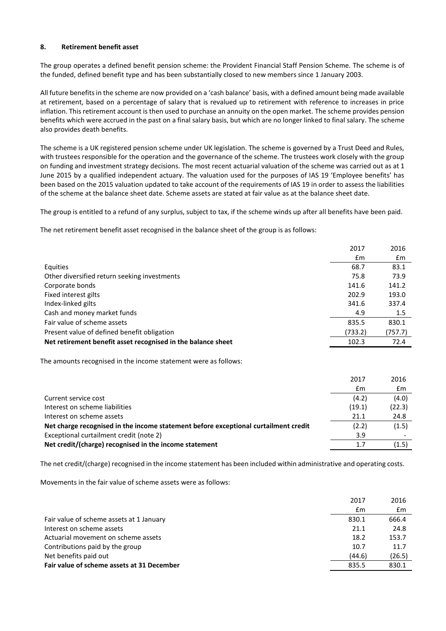#### **8. Retirement benefit asset**

The group operates a defined benefit pension scheme: the Provident Financial Staff Pension Scheme. The scheme is of the funded, defined benefit type and has been substantially closed to new members since 1 January 2003.

All future benefits in the scheme are now provided on a 'cash balance' basis, with a defined amount being made available at retirement, based on a percentage of salary that is revalued up to retirement with reference to increases in price inflation. This retirement account is then used to purchase an annuity on the open market. The scheme provides pension benefits which were accrued in the past on a final salary basis, but which are no longer linked to final salary. The scheme also provides death benefits.

The scheme is a UK registered pension scheme under UK legislation. The scheme is governed by a Trust Deed and Rules, with trustees responsible for the operation and the governance of the scheme. The trustees work closely with the group on funding and investment strategy decisions. The most recent actuarial valuation of the scheme was carried out as at 1 June 2015 by a qualified independent actuary. The valuation used for the purposes of IAS 19 'Employee benefits' has been based on the 2015 valuation updated to take account of the requirements of IAS 19 in order to assess the liabilities of the scheme at the balance sheet date. Scheme assets are stated at fair value as at the balance sheet date.

The group is entitled to a refund of any surplus, subject to tax, if the scheme winds up after all benefits have been paid.

The net retirement benefit asset recognised in the balance sheet of the group is as follows:

|                                                              | 2017    | 2016    |
|--------------------------------------------------------------|---------|---------|
|                                                              | £m      | £m      |
| Equities                                                     | 68.7    | 83.1    |
| Other diversified return seeking investments                 | 75.8    | 73.9    |
| Corporate bonds                                              | 141.6   | 141.2   |
| Fixed interest gilts                                         | 202.9   | 193.0   |
| Index-linked gilts                                           | 341.6   | 337.4   |
| Cash and money market funds                                  | 4.9     | 1.5     |
| Fair value of scheme assets                                  | 835.5   | 830.1   |
| Present value of defined benefit obligation                  | (733.2) | (757.7) |
| Net retirement benefit asset recognised in the balance sheet | 102.3   | 72.4    |

The amounts recognised in the income statement were as follows:

|                                                                                     | 2017   | 2016   |
|-------------------------------------------------------------------------------------|--------|--------|
|                                                                                     | £m     | £m     |
| Current service cost                                                                | (4.2)  | (4.0)  |
| Interest on scheme liabilities                                                      | (19.1) | (22.3) |
| Interest on scheme assets                                                           | 21.1   | 24.8   |
| Net charge recognised in the income statement before exceptional curtailment credit | (2.2)  | (1.5)  |
| Exceptional curtailment credit (note 2)                                             | 3.9    |        |
| Net credit/(charge) recognised in the income statement                              | 1.7    | (1.5)  |
|                                                                                     |        |        |

The net credit/(charge) recognised in the income statement has been included within administrative and operating costs.

Movements in the fair value of scheme assets were as follows:

|                                            | 2017   | 2016   |
|--------------------------------------------|--------|--------|
|                                            | £m     | £m     |
| Fair value of scheme assets at 1 January   | 830.1  | 666.4  |
| Interest on scheme assets                  | 21.1   | 24.8   |
| Actuarial movement on scheme assets        | 18.2   | 153.7  |
| Contributions paid by the group            | 10.7   | 11.7   |
| Net benefits paid out                      | (44.6) | (26.5) |
| Fair value of scheme assets at 31 December | 835.5  | 830.1  |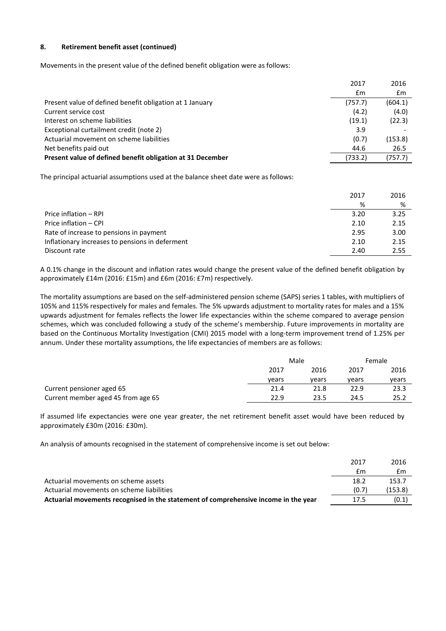## **8. Retirement benefit asset (continued)**

Movements in the present value of the defined benefit obligation were as follows:

|                                                            | 2017    | 2016    |
|------------------------------------------------------------|---------|---------|
|                                                            | £m      | £m      |
| Present value of defined benefit obligation at 1 January   | (757.7) | (604.1) |
| Current service cost                                       | (4.2)   | (4.0)   |
| Interest on scheme liabilities                             | (19.1)  | (22.3)  |
| Exceptional curtailment credit (note 2)                    | 3.9     |         |
| Actuarial movement on scheme liabilities                   | (0.7)   | (153.8) |
| Net benefits paid out                                      | 44.6    | 26.5    |
| Present value of defined benefit obligation at 31 December | (733.2) | (757.7) |
|                                                            |         |         |

The principal actuarial assumptions used at the balance sheet date were as follows:

|                                                 | 2017 | 2016 |
|-------------------------------------------------|------|------|
|                                                 | %    | %    |
| Price inflation - RPI                           | 3.20 | 3.25 |
| Price inflation - CPI                           | 2.10 | 2.15 |
| Rate of increase to pensions in payment         | 2.95 | 3.00 |
| Inflationary increases to pensions in deferment | 2.10 | 2.15 |
| Discount rate                                   | 2.40 | 2.55 |

A 0.1% change in the discount and inflation rates would change the present value of the defined benefit obligation by approximately £14m (2016: £15m) and £6m (2016: £7m) respectively.

The mortality assumptions are based on the self-administered pension scheme (SAPS) series 1 tables, with multipliers of 105% and 115% respectively for males and females. The 5% upwards adjustment to mortality rates for males and a 15% upwards adjustment for females reflects the lower life expectancies within the scheme compared to average pension schemes, which was concluded following a study of the scheme's membership. Future improvements in mortality are based on the Continuous Mortality Investigation (CMI) 2015 model with a long-term improvement trend of 1.25% per annum. Under these mortality assumptions, the life expectancies of members are as follows:

|                                    |       | Male  |       | Female |
|------------------------------------|-------|-------|-------|--------|
|                                    | 2017  | 2016  | 2017  | 2016   |
|                                    | vears | vears | vears | vears  |
| Current pensioner aged 65          | 21.4  | 21.8  | 22.9  | 23.3   |
| Current member aged 45 from age 65 | 22.9  | 23.5  | 24.5  | 25.2   |

If assumed life expectancies were one year greater, the net retirement benefit asset would have been reduced by approximately £30m (2016: £30m).

An analysis of amounts recognised in the statement of comprehensive income is set out below:

|                                                                                     | 2017  | 2016    |
|-------------------------------------------------------------------------------------|-------|---------|
|                                                                                     | £m    | £m      |
| Actuarial movements on scheme assets                                                | 18.2  | 153.7   |
| Actuarial movements on scheme liabilities                                           | (0.7) | (153.8) |
| Actuarial movements recognised in the statement of comprehensive income in the year | 17.5  | (0.1)   |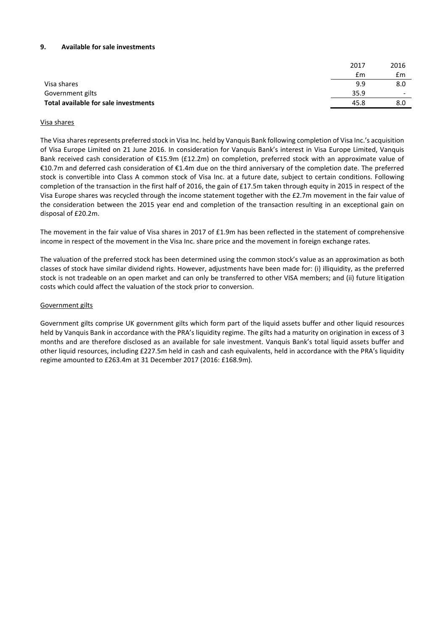#### **9. Available for sale investments**

|                                      | 2017 | 2016                     |
|--------------------------------------|------|--------------------------|
|                                      | £m   | £m                       |
| Visa shares                          | 9.9  | 8.0                      |
| Government gilts                     | 35.9 | $\overline{\phantom{a}}$ |
| Total available for sale investments | 45.8 | 8.0                      |
|                                      |      |                          |

#### Visa shares

The Visa shares represents preferred stock in Visa Inc. held by Vanquis Bank following completion of Visa Inc.'s acquisition of Visa Europe Limited on 21 June 2016. In consideration for Vanquis Bank's interest in Visa Europe Limited, Vanquis Bank received cash consideration of €15.9m (£12.2m) on completion, preferred stock with an approximate value of €10.7m and deferred cash consideration of €1.4m due on the third anniversary of the completion date. The preferred stock is convertible into Class A common stock of Visa Inc. at a future date, subject to certain conditions. Following completion of the transaction in the first half of 2016, the gain of £17.5m taken through equity in 2015 in respect of the Visa Europe shares was recycled through the income statement together with the £2.7m movement in the fair value of the consideration between the 2015 year end and completion of the transaction resulting in an exceptional gain on disposal of £20.2m.

The movement in the fair value of Visa shares in 2017 of £1.9m has been reflected in the statement of comprehensive income in respect of the movement in the Visa Inc. share price and the movement in foreign exchange rates.

The valuation of the preferred stock has been determined using the common stock's value as an approximation as both classes of stock have similar dividend rights. However, adjustments have been made for: (i) illiquidity, as the preferred stock is not tradeable on an open market and can only be transferred to other VISA members; and (ii) future litigation costs which could affect the valuation of the stock prior to conversion.

#### Government gilts

Government gilts comprise UK government gilts which form part of the liquid assets buffer and other liquid resources held by Vanquis Bank in accordance with the PRA's liquidity regime. The gilts had a maturity on origination in excess of 3 months and are therefore disclosed as an available for sale investment. Vanquis Bank's total liquid assets buffer and other liquid resources, including £227.5m held in cash and cash equivalents, held in accordance with the PRA's liquidity regime amounted to £263.4m at 31 December 2017 (2016: £168.9m).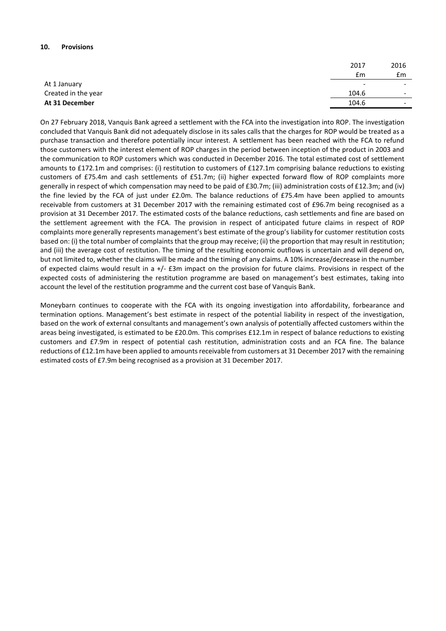#### **10. Provisions**

|                     | 2017                     | 2016                     |
|---------------------|--------------------------|--------------------------|
|                     | £m                       | £m                       |
| At 1 January        | $\overline{\phantom{a}}$ | $\overline{\phantom{0}}$ |
| Created in the year | 104.6                    | $\overline{\phantom{a}}$ |
| At 31 December      | 104.6                    | $\overline{\phantom{a}}$ |

On 27 February 2018, Vanquis Bank agreed a settlement with the FCA into the investigation into ROP. The investigation concluded that Vanquis Bank did not adequately disclose in its sales calls that the charges for ROP would be treated as a purchase transaction and therefore potentially incur interest. A settlement has been reached with the FCA to refund those customers with the interest element of ROP charges in the period between inception of the product in 2003 and the communication to ROP customers which was conducted in December 2016. The total estimated cost of settlement amounts to £172.1m and comprises: (i) restitution to customers of £127.1m comprising balance reductions to existing customers of £75.4m and cash settlements of £51.7m; (ii) higher expected forward flow of ROP complaints more generally in respect of which compensation may need to be paid of £30.7m; (iii) administration costs of £12.3m; and (iv) the fine levied by the FCA of just under £2.0m. The balance reductions of £75.4m have been applied to amounts receivable from customers at 31 December 2017 with the remaining estimated cost of £96.7m being recognised as a provision at 31 December 2017. The estimated costs of the balance reductions, cash settlements and fine are based on the settlement agreement with the FCA. The provision in respect of anticipated future claims in respect of ROP complaints more generally represents management's best estimate of the group's liability for customer restitution costs based on: (i) the total number of complaints that the group may receive; (ii) the proportion that may result in restitution; and (iii) the average cost of restitution. The timing of the resulting economic outflows is uncertain and will depend on, but not limited to, whether the claims will be made and the timing of any claims. A 10% increase/decrease in the number of expected claims would result in a +/- £3m impact on the provision for future claims. Provisions in respect of the expected costs of administering the restitution programme are based on management's best estimates, taking into account the level of the restitution programme and the current cost base of Vanquis Bank.

Moneybarn continues to cooperate with the FCA with its ongoing investigation into affordability, forbearance and termination options. Management's best estimate in respect of the potential liability in respect of the investigation, based on the work of external consultants and management's own analysis of potentially affected customers within the areas being investigated, is estimated to be £20.0m. This comprises £12.1m in respect of balance reductions to existing customers and £7.9m in respect of potential cash restitution, administration costs and an FCA fine. The balance reductions of £12.1m have been applied to amounts receivable from customers at 31 December 2017 with the remaining estimated costs of £7.9m being recognised as a provision at 31 December 2017.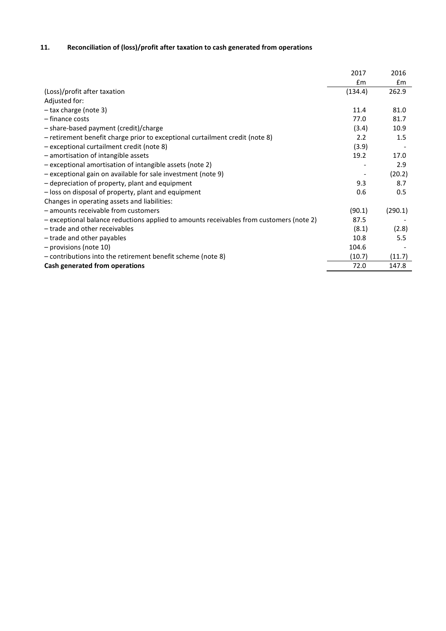# **11. Reconciliation of (loss)/profit after taxation to cash generated from operations**

|                                                                                         | 2017    | 2016    |
|-----------------------------------------------------------------------------------------|---------|---------|
|                                                                                         | £m      | £m      |
| (Loss)/profit after taxation                                                            | (134.4) | 262.9   |
| Adjusted for:                                                                           |         |         |
| - tax charge (note 3)                                                                   | 11.4    | 81.0    |
| - finance costs                                                                         | 77.0    | 81.7    |
| - share-based payment (credit)/charge                                                   | (3.4)   | 10.9    |
| - retirement benefit charge prior to exceptional curtailment credit (note 8)            | 2.2     | 1.5     |
| - exceptional curtailment credit (note 8)                                               | (3.9)   |         |
| - amortisation of intangible assets                                                     | 19.2    | 17.0    |
| $-$ exceptional amortisation of intangible assets (note 2)                              |         | 2.9     |
| - exceptional gain on available for sale investment (note 9)                            |         | (20.2)  |
| - depreciation of property, plant and equipment                                         | 9.3     | 8.7     |
| - loss on disposal of property, plant and equipment                                     | 0.6     | 0.5     |
| Changes in operating assets and liabilities:                                            |         |         |
| - amounts receivable from customers                                                     | (90.1)  | (290.1) |
| - exceptional balance reductions applied to amounts receivables from customers (note 2) | 87.5    |         |
| - trade and other receivables                                                           | (8.1)   | (2.8)   |
| - trade and other payables                                                              | 10.8    | 5.5     |
| - provisions (note 10)                                                                  | 104.6   |         |
| - contributions into the retirement benefit scheme (note 8)                             | (10.7)  | (11.7)  |
| Cash generated from operations                                                          | 72.0    | 147.8   |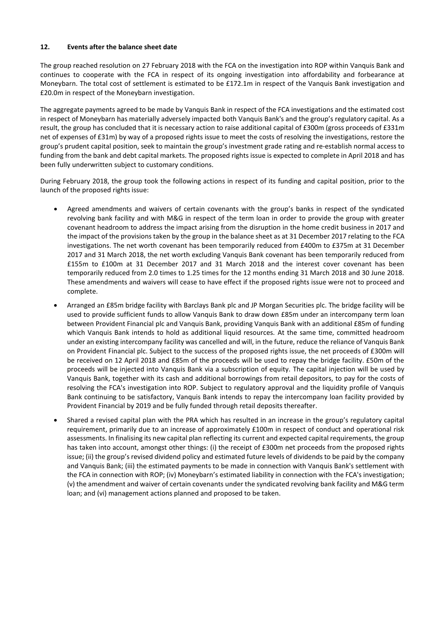## **12. Events after the balance sheet date**

The group reached resolution on 27 February 2018 with the FCA on the investigation into ROP within Vanquis Bank and continues to cooperate with the FCA in respect of its ongoing investigation into affordability and forbearance at Moneybarn. The total cost of settlement is estimated to be £172.1m in respect of the Vanquis Bank investigation and £20.0m in respect of the Moneybarn investigation.

The aggregate payments agreed to be made by Vanquis Bank in respect of the FCA investigations and the estimated cost in respect of Moneybarn has materially adversely impacted both Vanquis Bank's and the group's regulatory capital. As a result, the group has concluded that it is necessary action to raise additional capital of £300m (gross proceeds of £331m net of expenses of £31m) by way of a proposed rights issue to meet the costs of resolving the investigations, restore the group's prudent capital position, seek to maintain the group's investment grade rating and re-establish normal access to funding from the bank and debt capital markets. The proposed rights issue is expected to complete in April 2018 and has been fully underwritten subject to customary conditions.

During February 2018, the group took the following actions in respect of its funding and capital position, prior to the launch of the proposed rights issue:

- Agreed amendments and waivers of certain covenants with the group's banks in respect of the syndicated revolving bank facility and with M&G in respect of the term loan in order to provide the group with greater covenant headroom to address the impact arising from the disruption in the home credit business in 2017 and the impact of the provisions taken by the group in the balance sheet as at 31 December 2017 relating to the FCA investigations. The net worth covenant has been temporarily reduced from £400m to £375m at 31 December 2017 and 31 March 2018, the net worth excluding Vanquis Bank covenant has been temporarily reduced from £155m to £100m at 31 December 2017 and 31 March 2018 and the interest cover covenant has been temporarily reduced from 2.0 times to 1.25 times for the 12 months ending 31 March 2018 and 30 June 2018. These amendments and waivers will cease to have effect if the proposed rights issue were not to proceed and complete.
- Arranged an £85m bridge facility with Barclays Bank plc and JP Morgan Securities plc. The bridge facility will be used to provide sufficient funds to allow Vanquis Bank to draw down £85m under an intercompany term loan between Provident Financial plc and Vanquis Bank, providing Vanquis Bank with an additional £85m of funding which Vanquis Bank intends to hold as additional liquid resources. At the same time, committed headroom under an existing intercompany facility was cancelled and will, in the future, reduce the reliance of Vanquis Bank on Provident Financial plc. Subject to the success of the proposed rights issue, the net proceeds of £300m will be received on 12 April 2018 and £85m of the proceeds will be used to repay the bridge facility. £50m of the proceeds will be injected into Vanquis Bank via a subscription of equity. The capital injection will be used by Vanquis Bank, together with its cash and additional borrowings from retail depositors, to pay for the costs of resolving the FCA's investigation into ROP. Subject to regulatory approval and the liquidity profile of Vanquis Bank continuing to be satisfactory, Vanquis Bank intends to repay the intercompany loan facility provided by Provident Financial by 2019 and be fully funded through retail deposits thereafter.
- Shared a revised capital plan with the PRA which has resulted in an increase in the group's regulatory capital requirement, primarily due to an increase of approximately £100m in respect of conduct and operational risk assessments. In finalising its new capital plan reflecting its current and expected capital requirements, the group has taken into account, amongst other things: (i) the receipt of £300m net proceeds from the proposed rights issue; (ii) the group's revised dividend policy and estimated future levels of dividends to be paid by the company and Vanquis Bank; (iii) the estimated payments to be made in connection with Vanquis Bank's settlement with the FCA in connection with ROP; (iv) Moneybarn's estimated liability in connection with the FCA's investigation; (v) the amendment and waiver of certain covenants under the syndicated revolving bank facility and M&G term loan; and (vi) management actions planned and proposed to be taken.